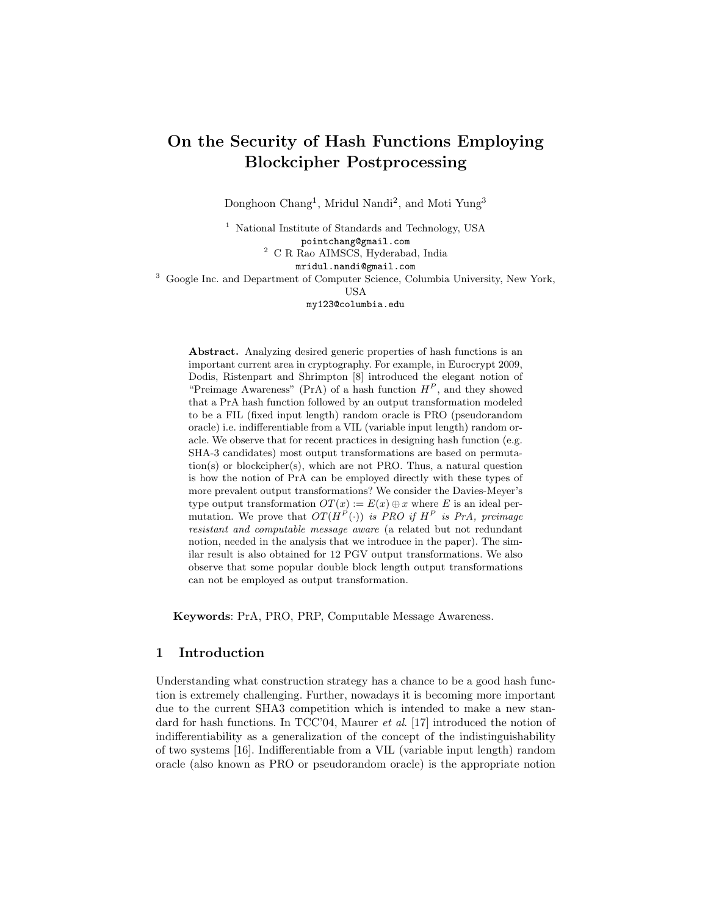# On the Security of Hash Functions Employing Blockcipher Postprocessing

Donghoon Chang<sup>1</sup>, Mridul Nandi<sup>2</sup>, and Moti Yung<sup>3</sup>

<sup>1</sup> National Institute of Standards and Technology, USA pointchang@gmail.com <sup>2</sup> C R Rao AIMSCS, Hyderabad, India mridul.nandi@gmail.com

<sup>3</sup> Google Inc. and Department of Computer Science, Columbia University, New York,

USA

my123@columbia.edu

Abstract. Analyzing desired generic properties of hash functions is an important current area in cryptography. For example, in Eurocrypt 2009, Dodis, Ristenpart and Shrimpton [8] introduced the elegant notion of "Preimage Awareness" (PrA) of a hash function  $H^P$ , and they showed that a PrA hash function followed by an output transformation modeled to be a FIL (fixed input length) random oracle is PRO (pseudorandom oracle) i.e. indifferentiable from a VIL (variable input length) random oracle. We observe that for recent practices in designing hash function (e.g. SHA-3 candidates) most output transformations are based on permutation(s) or blockcipher(s), which are not PRO. Thus, a natural question is how the notion of PrA can be employed directly with these types of more prevalent output transformations? We consider the Davies-Meyer's type output transformation  $OT(x) := E(x) \oplus x$  where E is an ideal permutation. We prove that  $OT(H^P(\cdot))$  is PRO if  $H^P$  is PrA, preimage resistant and computable message aware (a related but not redundant notion, needed in the analysis that we introduce in the paper). The similar result is also obtained for 12 PGV output transformations. We also observe that some popular double block length output transformations can not be employed as output transformation.

Keywords: PrA, PRO, PRP, Computable Message Awareness.

### 1 Introduction

Understanding what construction strategy has a chance to be a good hash function is extremely challenging. Further, nowadays it is becoming more important due to the current SHA3 competition which is intended to make a new standard for hash functions. In TCC'04, Maurer et al. [17] introduced the notion of indifferentiability as a generalization of the concept of the indistinguishability of two systems [16]. Indifferentiable from a VIL (variable input length) random oracle (also known as PRO or pseudorandom oracle) is the appropriate notion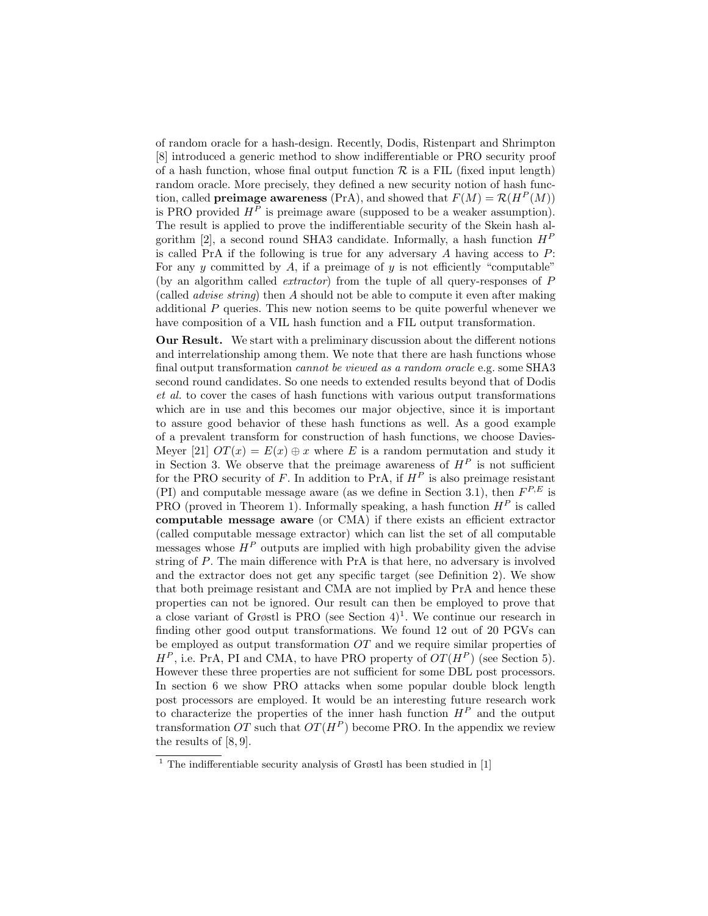of random oracle for a hash-design. Recently, Dodis, Ristenpart and Shrimpton [8] introduced a generic method to show indifferentiable or PRO security proof of a hash function, whose final output function  $\mathcal R$  is a FIL (fixed input length) random oracle. More precisely, they defined a new security notion of hash function, called **preimage awareness** (PrA), and showed that  $F(M) = \mathcal{R}(H^P(M))$ is PRO provided  $H^P$  is preimage aware (supposed to be a weaker assumption). The result is applied to prove the indifferentiable security of the Skein hash algorithm [2], a second round SHA3 candidate. Informally, a hash function  $H^P$ is called PrA if the following is true for any adversary  $A$  having access to  $P$ : For any y committed by A, if a preimage of y is not efficiently "computable" (by an algorithm called extractor) from the tuple of all query-responses of P (called advise string) then A should not be able to compute it even after making additional P queries. This new notion seems to be quite powerful whenever we have composition of a VIL hash function and a FIL output transformation.

Our Result. We start with a preliminary discussion about the different notions and interrelationship among them. We note that there are hash functions whose final output transformation cannot be viewed as a random oracle e.g. some SHA3 second round candidates. So one needs to extended results beyond that of Dodis et al. to cover the cases of hash functions with various output transformations which are in use and this becomes our major objective, since it is important to assure good behavior of these hash functions as well. As a good example of a prevalent transform for construction of hash functions, we choose Davies-Meyer [21]  $OT(x) = E(x) \oplus x$  where E is a random permutation and study it in Section 3. We observe that the preimage awareness of  $H<sup>P</sup>$  is not sufficient for the PRO security of F. In addition to  $\Pr A$ , if  $H^P$  is also preimage resistant (PI) and computable message aware (as we define in Section 3.1), then  $F^{P,E}$  is PRO (proved in Theorem 1). Informally speaking, a hash function  $H^P$  is called computable message aware (or CMA) if there exists an efficient extractor (called computable message extractor) which can list the set of all computable messages whose  $H<sup>P</sup>$  outputs are implied with high probability given the advise string of P. The main difference with PrA is that here, no adversary is involved and the extractor does not get any specific target (see Definition 2). We show that both preimage resistant and CMA are not implied by PrA and hence these properties can not be ignored. Our result can then be employed to prove that a close variant of Grøstl is PRO (see Section  $4$ )<sup>1</sup>. We continue our research in finding other good output transformations. We found 12 out of 20 PGVs can be employed as output transformation  $OT$  and we require similar properties of  $H^P$ , i.e. PrA, PI and CMA, to have PRO property of  $OT(H^P)$  (see Section 5). However these three properties are not sufficient for some DBL post processors. In section 6 we show PRO attacks when some popular double block length post processors are employed. It would be an interesting future research work to characterize the properties of the inner hash function  $H^P$  and the output transformation OT such that  $OT(H^P)$  become PRO. In the appendix we review the results of [8, 9].

 $1$  The indifferentiable security analysis of Grøstl has been studied in [1]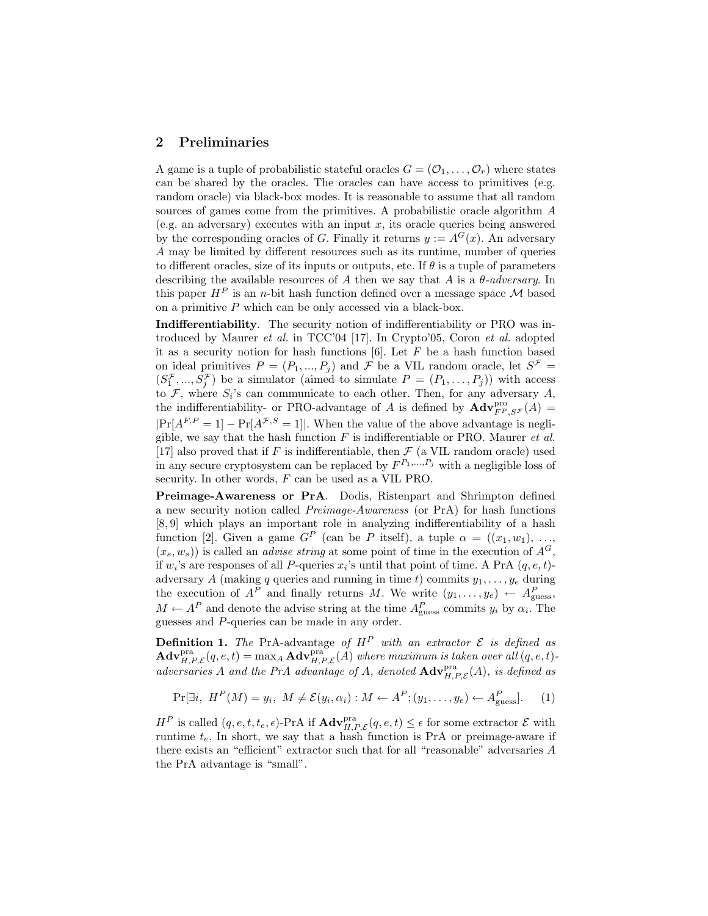# 2 Preliminaries

A game is a tuple of probabilistic stateful oracles  $G = (\mathcal{O}_1, \ldots, \mathcal{O}_r)$  where states can be shared by the oracles. The oracles can have access to primitives (e.g. random oracle) via black-box modes. It is reasonable to assume that all random sources of games come from the primitives. A probabilistic oracle algorithm A (e.g. an adversary) executes with an input  $x$ , its oracle queries being answered by the corresponding oracles of G. Finally it returns  $y := A^{G}(x)$ . An adversary A may be limited by different resources such as its runtime, number of queries to different oracles, size of its inputs or outputs, etc. If  $\theta$  is a tuple of parameters describing the available resources of A then we say that A is a  $\theta$ -adversary. In this paper  $H^P$  is an *n*-bit hash function defined over a message space M based on a primitive  $P$  which can be only accessed via a black-box.

Indifferentiability. The security notion of indifferentiability or PRO was introduced by Maurer et al. in TCC'04 [17]. In Crypto'05, Coron et al. adopted it as a security notion for hash functions  $[6]$ . Let F be a hash function based on ideal primitives  $P = (P_1, ..., P_j)$  and  $\mathcal F$  be a VIL random oracle, let  $S^{\mathcal F}$  =  $(S_1^{\mathcal{F}},...,S_j^{\mathcal{F}})$  be a simulator (aimed to simulate  $P = (P_1,...,P_j)$ ) with access to  $\mathcal{F}$ , where  $S_i$ 's can communicate to each other. Then, for any adversary  $A$ , the indifferentiability- or PRO-advantage of A is defined by  $\mathbf{Adv}_{F^P,S^{\mathcal{F}}}^{\text{pro}}(A)$  =  $|Pr[A^{F,P} = 1] - Pr[A^{F,S} = 1]$ . When the value of the above advantage is negligible, we say that the hash function  $F$  is indifferentiable or PRO. Maurer *et al.* [17] also proved that if F is indifferentiable, then  $\mathcal F$  (a VIL random oracle) used in any secure cryptosystem can be replaced by  $F^{P_1,...,P_j}$  with a negligible loss of security. In other words,  $F$  can be used as a VIL PRO.

Preimage-Awareness or PrA. Dodis, Ristenpart and Shrimpton defined a new security notion called Preimage-Awareness (or PrA) for hash functions [8, 9] which plays an important role in analyzing indifferentiability of a hash function [2]. Given a game  $G^P$  (can be P itself), a tuple  $\alpha = ((x_1, w_1), \ldots,$  $(x_s, w_s)$  is called an *advise string* at some point of time in the execution of  $A^G$ , if  $w_i$ 's are responses of all P-queries  $x_i$ 's until that point of time. A PrA  $(q, e, t)$ adversary A (making q queries and running in time t) commits  $y_1, \ldots, y_e$  during the execution of  $A^P$  and finally returns M. We write  $(y_1, \ldots, y_e) \leftarrow A_{\text{guess}}^P$ ,  $M \leftarrow A^P$  and denote the advise string at the time  $A_{\text{guess}}^P$  commits  $y_i$  by  $\alpha_i$ . The guesses and P-queries can be made in any order.

**Definition 1.** The PrA-advantage of  $H^P$  with an extractor  $\mathcal E$  is defined as  $\mathbf{Adv}_{H,P,\mathcal{E}}^{\text{pra}}(q,e,t) = \max_{A} \mathbf{Adv}_{H,P,\mathcal{E}}^{\text{pra}}(A)$  where maximum is taken over all  $(q,e,t)$ adversaries A and the PrA advantage of A, denoted  $\mathbf{Adv}_{H,P,\mathcal{E}}^{\text{pra}}(A)$ , is defined as

$$
\Pr[\exists i, H^P(M) = y_i, M \neq \mathcal{E}(y_i, \alpha_i) : M \leftarrow A^P; (y_1, \dots, y_e) \leftarrow A^P_{\text{guess}}]. \tag{1}
$$

 $H^P$  is called  $(q, e, t, t_e, \epsilon)$ -PrA if  $\mathbf{Adv}_{H,P,\mathcal{E}}^{\text{pra}}(q, e, t) \leq \epsilon$  for some extractor  $\mathcal E$  with runtime  $t_e$ . In short, we say that a hash function is PrA or preimage-aware if there exists an "efficient" extractor such that for all "reasonable" adversaries A the PrA advantage is "small".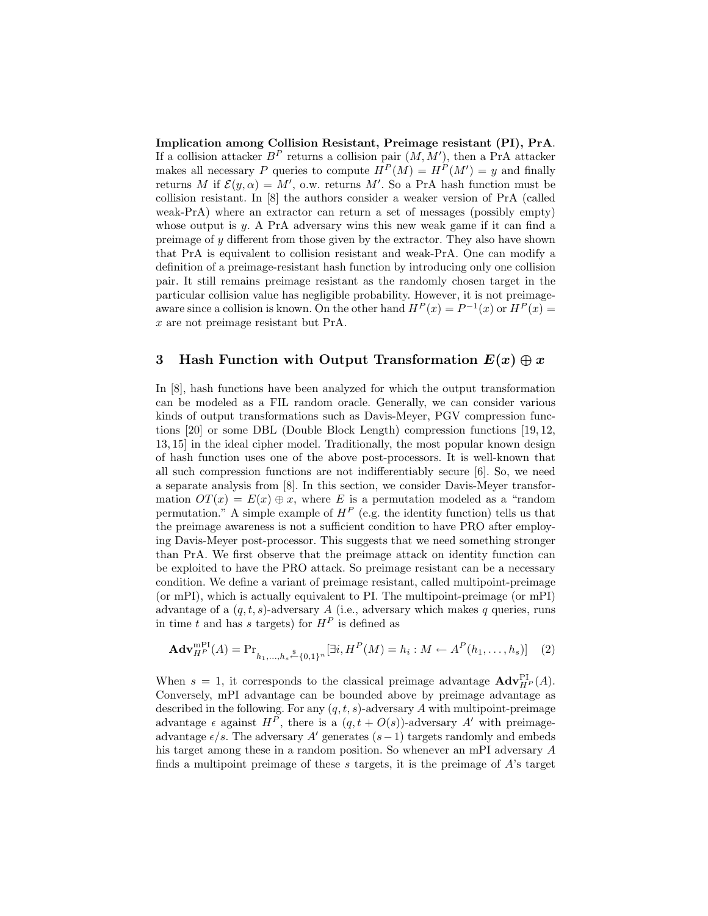Implication among Collision Resistant, Preimage resistant (PI), PrA. If a collision attacker  $B^P$  returns a collision pair  $(M, M')$ , then a PrA attacker makes all necessary P queries to compute  $H^P(M) = H^P(M') = y$  and finally returns M if  $\mathcal{E}(y,\alpha) = M'$ , o.w. returns M'. So a PrA hash function must be collision resistant. In [8] the authors consider a weaker version of PrA (called weak-PrA) where an extractor can return a set of messages (possibly empty) whose output is  $y$ . A PrA adversary wins this new weak game if it can find a preimage of  $y$  different from those given by the extractor. They also have shown that PrA is equivalent to collision resistant and weak-PrA. One can modify a definition of a preimage-resistant hash function by introducing only one collision pair. It still remains preimage resistant as the randomly chosen target in the particular collision value has negligible probability. However, it is not preimageaware since a collision is known. On the other hand  $H^P(x) = P^{-1}(x)$  or  $H^P(x) =$ x are not preimage resistant but PrA.

## 3 Hash Function with Output Transformation  $E(x) \oplus x$

In [8], hash functions have been analyzed for which the output transformation can be modeled as a FIL random oracle. Generally, we can consider various kinds of output transformations such as Davis-Meyer, PGV compression functions [20] or some DBL (Double Block Length) compression functions [19, 12, 13, 15] in the ideal cipher model. Traditionally, the most popular known design of hash function uses one of the above post-processors. It is well-known that all such compression functions are not indifferentiably secure [6]. So, we need a separate analysis from [8]. In this section, we consider Davis-Meyer transformation  $OT(x) = E(x) \oplus x$ , where E is a permutation modeled as a "random permutation." A simple example of  $H^P$  (e.g. the identity function) tells us that the preimage awareness is not a sufficient condition to have PRO after employing Davis-Meyer post-processor. This suggests that we need something stronger than PrA. We first observe that the preimage attack on identity function can be exploited to have the PRO attack. So preimage resistant can be a necessary condition. We define a variant of preimage resistant, called multipoint-preimage (or mPI), which is actually equivalent to PI. The multipoint-preimage (or mPI) advantage of a  $(q, t, s)$ -adversary A (i.e., adversary which makes q queries, runs in time t and has s targets) for  $H^P$  is defined as

$$
\mathbf{Adv}_{H^{P}}^{\text{mPI}}(A) = \Pr_{h_{1},...,h_{s}} \mathcal{F}_{\{0,1\}^{n}}[\exists i, H^{P}(M) = h_{i} : M \leftarrow A^{P}(h_{1},...,h_{s})]
$$
(2)

When  $s = 1$ , it corresponds to the classical preimage advantage  $\mathbf{Adv}_{HP}^{\text{PI}}(A)$ . Conversely, mPI advantage can be bounded above by preimage advantage as described in the following. For any  $(q, t, s)$ -adversary A with multipoint-preimage advantage  $\epsilon$  against  $H^P$ , there is a  $(q, t + O(s))$ -adversary A' with preimageadvantage  $\epsilon/s$ . The adversary A' generates  $(s-1)$  targets randomly and embeds his target among these in a random position. So whenever an mPI adversary A finds a multipoint preimage of these  $s$  targets, it is the preimage of  $A$ 's target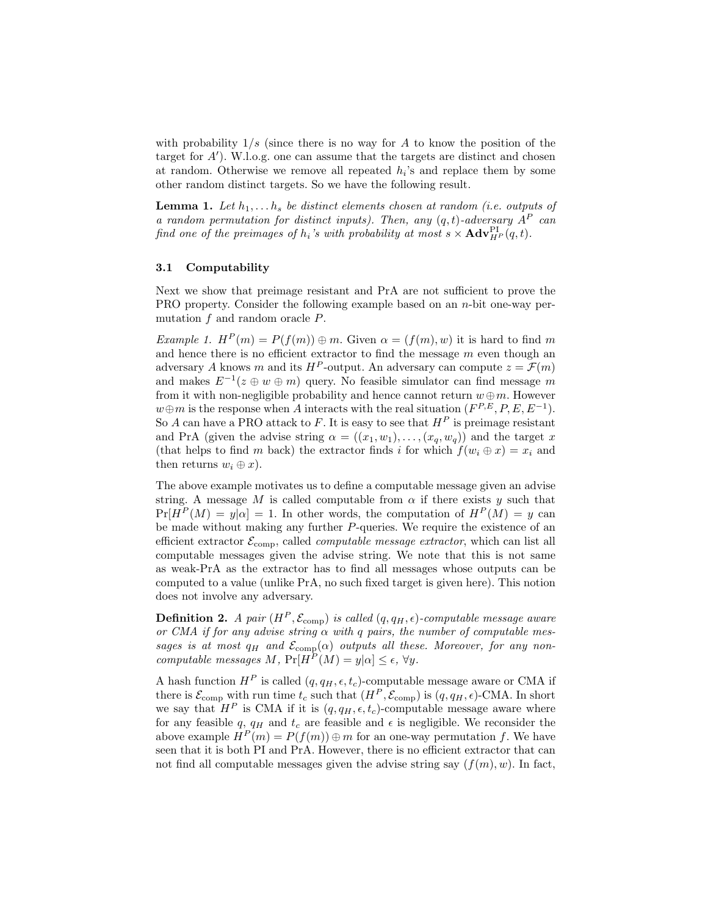with probability  $1/s$  (since there is no way for A to know the position of the target for  $A'$ ). W.l.o.g. one can assume that the targets are distinct and chosen at random. Otherwise we remove all repeated  $h_i$ 's and replace them by some other random distinct targets. So we have the following result.

**Lemma 1.** Let  $h_1, \ldots, h_s$  be distinct elements chosen at random (i.e. outputs of a random permutation for distinct inputs). Then, any  $(q, t)$ -adversary  $A<sup>P</sup>$  can find one of the preimages of  $h_i$ 's with probability at most  $s \times \mathbf{Adv}_{H^P}^{\text{PI}}(q,t)$ .

#### 3.1 Computability

Next we show that preimage resistant and PrA are not sufficient to prove the PRO property. Consider the following example based on an n-bit one-way permutation  $f$  and random oracle  $P$ .

*Example 1.*  $H^P(m) = P(f(m)) \oplus m$ . Given  $\alpha = (f(m), w)$  it is hard to find m and hence there is no efficient extractor to find the message  $m$  even though an adversary A knows m and its  $H^P$ -output. An adversary can compute  $z = \mathcal{F}(m)$ and makes  $E^{-1}(z \oplus w \oplus m)$  query. No feasible simulator can find message m from it with non-negligible probability and hence cannot return  $w \oplus m$ . However  $w \oplus m$  is the response when A interacts with the real situation  $(F^{P,E}, P, E, E^{-1})$ . So A can have a PRO attack to F. It is easy to see that  $H^P$  is preimage resistant and PrA (given the advise string  $\alpha = ((x_1, w_1), \ldots, (x_q, w_q))$  and the target x (that helps to find m back) the extractor finds i for which  $f(w_i \oplus x) = x_i$  and then returns  $w_i \oplus x$ ).

The above example motivates us to define a computable message given an advise string. A message M is called computable from  $\alpha$  if there exists y such that  $Pr[H^P(M) = y|\alpha] = 1$ . In other words, the computation of  $H^P(M) = y$  can be made without making any further  $P$ -queries. We require the existence of an efficient extractor  $\mathcal{E}_{\text{comp}}$ , called *computable message extractor*, which can list all computable messages given the advise string. We note that this is not same as weak-PrA as the extractor has to find all messages whose outputs can be computed to a value (unlike PrA, no such fixed target is given here). This notion does not involve any adversary.

**Definition 2.** A pair  $(H^P, \mathcal{E}_{comp})$  is called  $(q, q_H, \epsilon)$ -computable message aware or CMA if for any advise string  $\alpha$  with q pairs, the number of computable messages is at most  $q_H$  and  $\mathcal{E}_{\text{comp}}(\alpha)$  outputs all these. Moreover, for any noncomputable messages M,  $Pr[H^P(M) = y | \alpha] \leq \epsilon$ ,  $\forall y$ .

A hash function  $H^P$  is called  $(q, q_H, \epsilon, t_c)$ -computable message aware or CMA if there is  $\mathcal{E}_{\text{comp}}$  with run time  $t_c$  such that  $(H^P, \mathcal{E}_{\text{comp}})$  is  $(q, q_H, \epsilon)$ -CMA. In short we say that  $H^P$  is CMA if it is  $(q, q_H, \epsilon, t_c)$ -computable message aware where for any feasible q,  $q_H$  and  $t_c$  are feasible and  $\epsilon$  is negligible. We reconsider the above example  $H^P(m) = P(f(m)) \oplus m$  for an one-way permutation f. We have seen that it is both PI and PrA. However, there is no efficient extractor that can not find all computable messages given the advise string say  $(f(m), w)$ . In fact,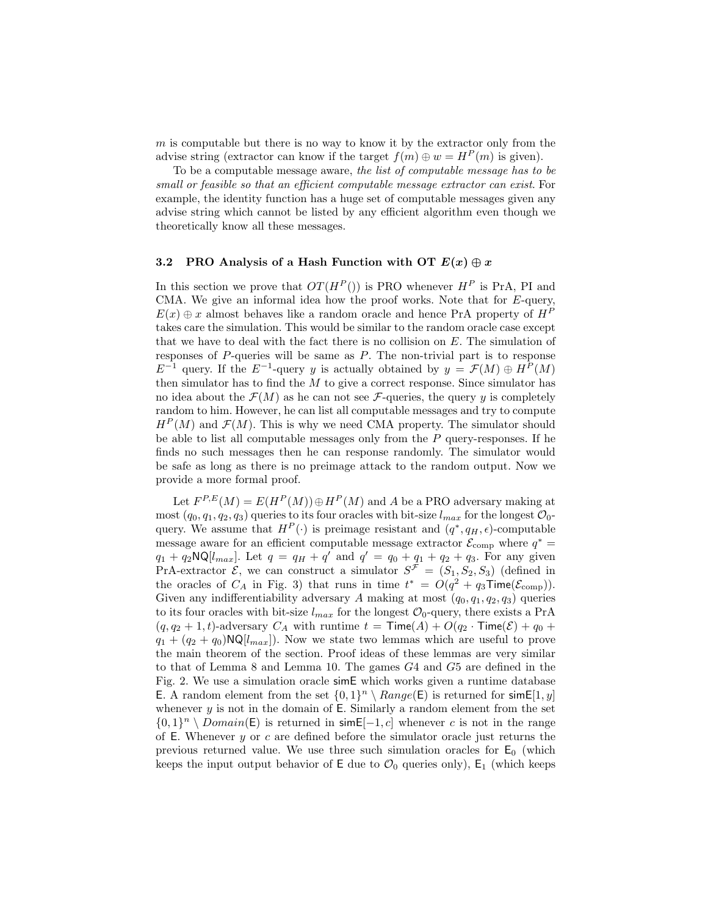$m$  is computable but there is no way to know it by the extractor only from the advise string (extractor can know if the target  $f(m) \oplus w = H<sup>P</sup>(m)$  is given).

To be a computable message aware, the list of computable message has to be small or feasible so that an efficient computable message extractor can exist. For example, the identity function has a huge set of computable messages given any advise string which cannot be listed by any efficient algorithm even though we theoretically know all these messages.

#### 3.2 PRO Analysis of a Hash Function with OT  $E(x) \oplus x$

In this section we prove that  $OT(H^P())$  is PRO whenever  $H^P$  is PrA, PI and CMA. We give an informal idea how the proof works. Note that for  $E$ -query,  $E(x) \oplus x$  almost behaves like a random oracle and hence PrA property of  $H<sup>P</sup>$ takes care the simulation. This would be similar to the random oracle case except that we have to deal with the fact there is no collision on  $E$ . The simulation of responses of  $P$ -queries will be same as  $P$ . The non-trivial part is to response  $E^{-1}$  query. If the  $E^{-1}$ -query y is actually obtained by  $y = \mathcal{F}(M) \oplus H^P(M)$ then simulator has to find the  $M$  to give a correct response. Since simulator has no idea about the  $\mathcal{F}(M)$  as he can not see  $\mathcal{F}\text{-}$ queries, the query y is completely random to him. However, he can list all computable messages and try to compute  $H^P(M)$  and  $\mathcal{F}(M)$ . This is why we need CMA property. The simulator should be able to list all computable messages only from the  $P$  query-responses. If he finds no such messages then he can response randomly. The simulator would be safe as long as there is no preimage attack to the random output. Now we provide a more formal proof.

Let  $F^{P,E}(M) = E(H^P(M)) \oplus H^P(M)$  and A be a PRO adversary making at most  $(q_0, q_1, q_2, q_3)$  queries to its four oracles with bit-size  $l_{max}$  for the longest  $\mathcal{O}_0$ query. We assume that  $H^P(\cdot)$  is preimage resistant and  $(q^*, q_H, \epsilon)$ -computable message aware for an efficient computable message extractor  $\mathcal{E}_{\text{comp}}$  where  $q^* =$  $q_1 + q_2 \mathsf{NQ}[l_{max}]$ . Let  $q = q_H + q'$  and  $q' = q_0 + q_1 + q_2 + q_3$ . For any given PrA-extractor  $\mathcal{E}$ , we can construct a simulator  $S^{\mathcal{F}} = (S_1, S_2, S_3)$  (defined in the oracles of  $C_A$  in Fig. 3) that runs in time  $t^* = O(q^2 + q_3 \text{Time}(\mathcal{E}_{\text{comp}})).$ Given any indifferentiability adversary A making at most  $(q_0, q_1, q_2, q_3)$  queries to its four oracles with bit-size  $l_{max}$  for the longest  $\mathcal{O}_0$ -query, there exists a PrA  $(q, q_2 + 1, t)$ -adversary  $C_A$  with runtime  $t = \text{Time}(A) + O(q_2 \cdot \text{Time}(\mathcal{E}) + q_0 +$  $q_1 + (q_2 + q_0)NQ[l_{max}].$  Now we state two lemmas which are useful to prove the main theorem of the section. Proof ideas of these lemmas are very similar to that of Lemma 8 and Lemma 10. The games G4 and G5 are defined in the Fig. 2. We use a simulation oracle simE which works given a runtime database E. A random element from the set  $\{0,1\}^n \setminus Range(\mathsf{E})$  is returned for sim  $\mathsf{E}[1,y]$ whenever  $y$  is not in the domain of E. Similarly a random element from the set  $\{0,1\}^n \setminus Domain(E)$  is returned in simE[-1, c] whenever c is not in the range of  $E$ . Whenever y or c are defined before the simulator oracle just returns the previous returned value. We use three such simulation oracles for  $E_0$  (which keeps the input output behavior of E due to  $\mathcal{O}_0$  queries only), E<sub>1</sub> (which keeps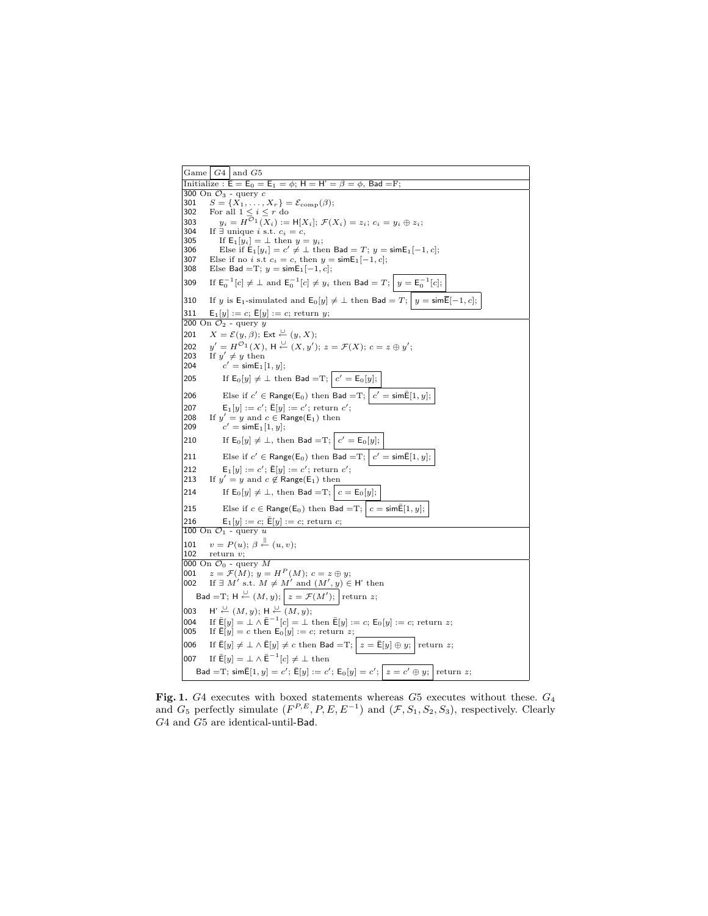

Fig. 1.  $G4$  executes with boxed statements whereas  $G5$  executes without these.  $G_4$ and  $G_5$  perfectly simulate  $(F^{P,E}, P, E, E^{-1})$  and  $(\mathcal{F}, S_1, S_2, S_3)$ , respectively. Clearly G4 and G5 are identical-until-Bad.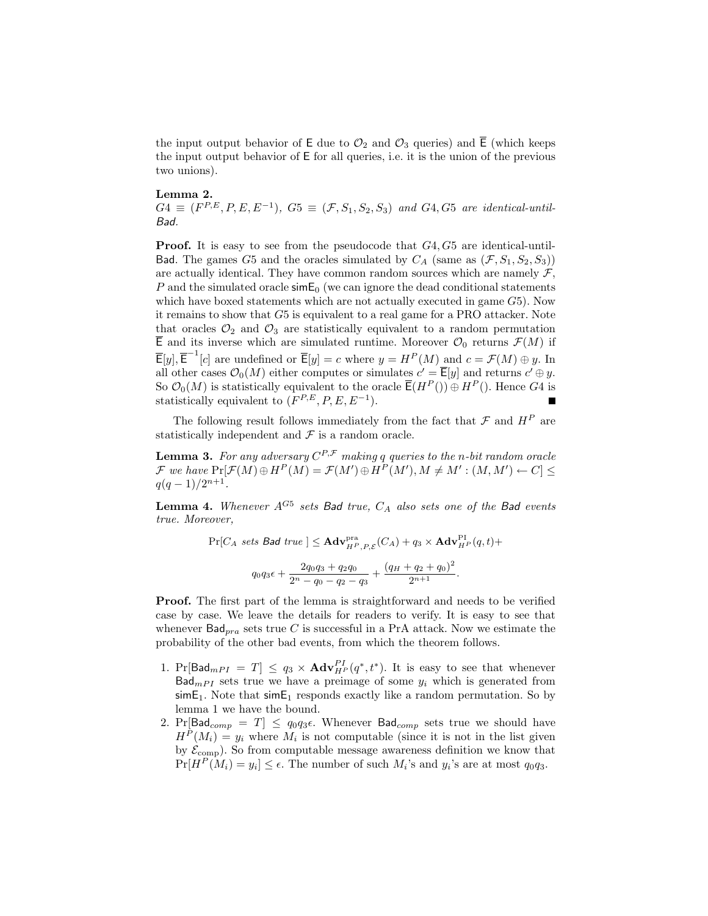the input output behavior of E due to  $\mathcal{O}_2$  and  $\mathcal{O}_3$  queries) and E (which keeps the input output behavior of E for all queries, i.e. it is the union of the previous two unions).

Lemma 2.

 $G4 \equiv (F^{P,E}, P, E, E^{-1}), G5 \equiv (\mathcal{F}, S_1, S_2, S_3)$  and  $G4, G5$  are identical-until-Bad.

**Proof.** It is easy to see from the pseudocode that  $G4$ ,  $G5$  are identical-until-Bad. The games G5 and the oracles simulated by  $C_A$  (same as  $(\mathcal{F}, S_1, S_2, S_3)$ ) are actually identical. They have common random sources which are namely  $\mathcal{F}$ , P and the simulated oracle  $\sin E_0$  (we can ignore the dead conditional statements which have boxed statements which are not actually executed in game  $G5$ ). Now it remains to show that G5 is equivalent to a real game for a PRO attacker. Note that oracles  $\mathcal{O}_2$  and  $\mathcal{O}_3$  are statistically equivalent to a random permutation  $\overline{\mathsf{E}}$  and its inverse which are simulated runtime. Moreover  $\mathcal{O}_0$  returns  $\mathcal{F}(M)$  if  $\overline{\mathsf{E}}[y], \overline{\mathsf{E}}^{-1}[c]$  are undefined or  $\overline{\mathsf{E}}[y] = c$  where  $y = H^P(M)$  and  $c = \mathcal{F}(M) \oplus y$ . In all other cases  $\mathcal{O}_0(M)$  either computes or simulates  $c' = \overline{\mathsf{E}}[y]$  and returns  $c' \oplus y$ . So  $\mathcal{O}_0(M)$  is statistically equivalent to the oracle  $\overline{\mathsf{E}}(H^P() \oplus H^P()$ . Hence G4 is statistically equivalent to  $(F^{P,E}, P, E, E^{-1})$ .

The following result follows immediately from the fact that  $\mathcal F$  and  $H^P$  are statistically independent and  $\mathcal F$  is a random oracle.

**Lemma 3.** For any adversary  $C^{P,\mathcal{F}}$  making q queries to the n-bit random oracle  $\mathcal F$  we have  $\Pr[\mathcal F(M)\oplus H^P(M)=\mathcal F(M')\oplus H^P(M'), M\neq M': (M,M')\leftarrow C]\leq$  $q(q-1)/2^{n+1}$ .

**Lemma 4.** Whenever  $A^{G5}$  sets Bad true,  $C_A$  also sets one of the Bad events true. Moreover,

 $\Pr[ C_A \; sets \; \mathcal{B}$ ad  $\mathit{true} \; ] \leq \mathbf{Adv}_{H^P,P,\mathcal{E}}^{\mathrm{pra}}(C_A) + q_3 \times \mathbf{Adv}_{H^P}^{\mathrm{PI}}(q,t) +$ 

$$
q_0q_3\epsilon + \frac{2q_0q_3 + q_2q_0}{2^n - q_0 - q_2 - q_3} + \frac{(q_H + q_2 + q_0)^2}{2^{n+1}}.
$$

**Proof.** The first part of the lemma is straightforward and needs to be verified case by case. We leave the details for readers to verify. It is easy to see that whenever  $\mathsf{Bad}_{pra}$  sets true C is successful in a PrA attack. Now we estimate the probability of the other bad events, from which the theorem follows.

- 1. Pr[Bad<sub>mPI</sub> = T]  $\leq q_3 \times \mathbf{Adv}_{H^P}^{PI}(q^*, t^*)$ . It is easy to see that whenever  $Bad_{mPI}$  sets true we have a preimage of some  $y_i$  which is generated from  $\sin E_1$ . Note that  $\sin E_1$  responds exactly like a random permutation. So by lemma 1 we have the bound.
- 2. Pr[Bad<sub>comp</sub> = T]  $\leq q_0 q_3 \epsilon$ . Whenever Bad<sub>comp</sub> sets true we should have  $H^P(M_i) = y_i$  where  $M_i$  is not computable (since it is not in the list given by  $\mathcal{E}_{\text{comp}}$ ). So from computable message awareness definition we know that  $Pr[H^P(M_i) = y_i] \leq \epsilon$ . The number of such  $M_i$ 's and  $y_i$ 's are at most  $q_0q_3$ .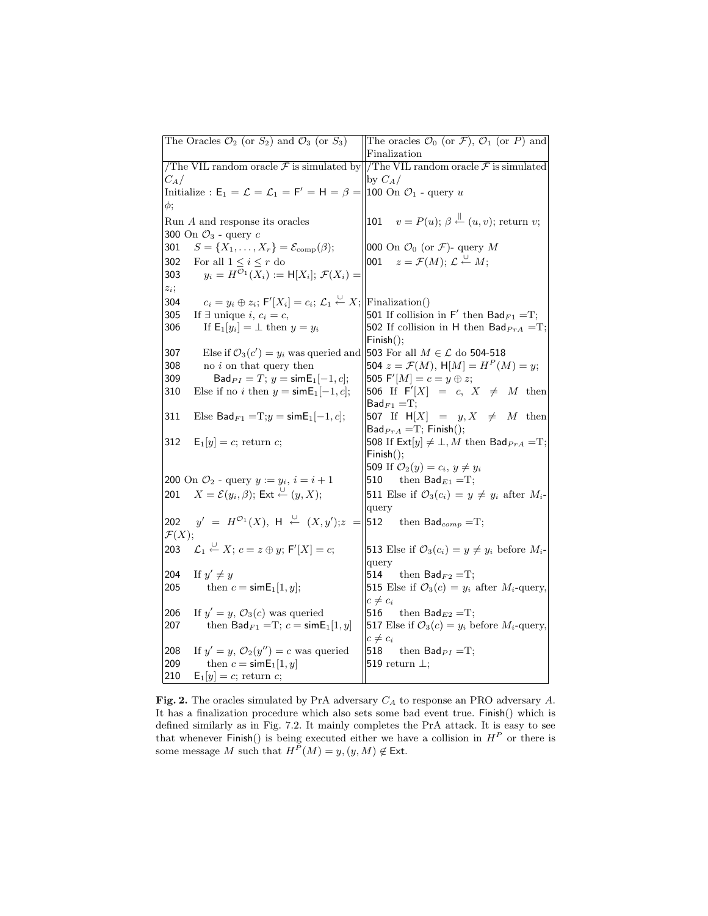The Oracles  $\mathcal{O}_2$  (or  $S_2$ ) and  $\mathcal{O}_3$  (or  $S_3$ ) The oracles  $\mathcal{O}_0$  (or  $\mathcal{F}$ ),  $\mathcal{O}_1$  (or  $P$ ) and Finalization The VIL random oracle  $\mathcal F$  is simulated by  $||/$  The VIL random oracle  $\mathcal F$  is simulated  $|C_A|$ by  $C_A/$ Initialize :  $E_1 = \mathcal{L} = \mathcal{L}_1 = F' = H = \beta = ||100 \text{ On } \mathcal{O}_1$  - query u φ; Run  $A$  and response its oracles 101  $v = P(u); \beta \stackrel{\parallel}{\leftarrow} (u, v);$  return v; 300 On  $\mathcal{O}_3$  - query  $c$ 301  $S = \{X_1, \ldots, X_r\} = \mathcal{E}_{\text{comp}}(\beta); \qquad \text{[000 On } \mathcal{O}_0 \text{ (or } \mathcal{F})\text{- query } M$ 302 For all  $1 \leq i \leq r$  do  $\begin{array}{cc} \n\ket{001} & z = \mathcal{F}(M); \mathcal{L} \stackrel{\cup}{\leftarrow} M; \n\end{array}$ 303  $y_i = H^{\mathcal{O}_1}(X_i) := \mathsf{H}[X_i]; \, \mathcal{F}(X_i) =$  $z_i$ ; 304  $c_i = y_i \oplus z_i; F'[X_i] = c_i; \mathcal{L}_1 \stackrel{\cup}{\leftarrow} X;$  Finalization() 305 If  $\exists$  unique i,  $c_i = c$ , ' then  $\mathsf{Bad}_{F1} = T;$ 306 If  $E_1[y_i] = \perp$  then  $y = y_i$  | 502 If collision in H then Bad $P_{rA} = T$ ; Finish(); 307 Else if  $\mathcal{O}_3(c)$ ||503 For all  $M \in \mathcal{L}$  do 504-518 308 no *i* on that query then  $\vert$  504  $z = \mathcal{F}(M)$ ,  $H[M] = H^P(M) = y$ ; 309 Bad $_{PI} = T$ ;  $y = \text{sim} E_1[-1, c]$ ; [505  $F'[M] = c = y \oplus z;$ 310 Else if no i then  $y = \textsf{simE}_1[-1, c]$ ;  $\mathcal{C}[X] = c, X \neq M$  then  $\vert$ Bad $_{F1}$  =T; 311 Else Bad $_{F1}$  =T; $y$  = simE<sub>1</sub>[-1, c]; ||507 If H[X] =  $y, X \neq M$  then  $\vert$ Bad $_{PrA}$  =T; Finish(); 312  $E_1[y] = c$ ; return c;  $\qquad \qquad \qquad$  508 If  $Ext[y] \neq \bot, M$  then Bad<sub>PrA</sub> = T; Finish(); **509** If  $\mathcal{O}_2(y) = c_i, y \neq y_i$ 200 On  $\mathcal{O}_2$  - query  $y := y_i$ ,  $i = i + 1$   $\qquad$   $\begin{array}{ll} \text{510} & \text{then } \mathsf{Bad}_{E1} = \text{T}; \end{array}$ 201  $X = \mathcal{E}(y_i, \beta)$ ; Ext  $\stackrel{\cup}{\leftarrow} (y, X)$ ;  $\qquad \qquad$  511 Else if  $\mathcal{O}_3(c_i) = y \neq y_i$  after  $M_i$ .  $|_{\rm query}$  $202$  $U = H^{\mathcal{O}_1}(X), \ \mathsf{H} \ \stackrel{\cup}{\leftarrow} \ (X, y'); z =$  $\mathcal{F}(X);$  $\parallel$ 512 then Bad<sub>comp</sub> = T; 203  $\mathcal{L}_1 \stackrel{\cup}{\leftarrow} X; c = z \oplus y; F'$ [513 Else if  $\mathcal{O}_3(c_i) = y \neq y_i$  before  $M_i$ query 204 If  $y'$  $y' \neq y$ <br>then  $c = \textsf{simE}_1[1, y];$  514 then Bad $F_2 = T;$ <br>515 Else if  $\mathcal{O}_3(c) = y_i$ 205 then  $c = \text{sim}E_1[1, y];$   $\qquad$  515 Else if  $\mathcal{O}_3(c) = y_i$  after  $M_i$ -query,  $c \neq c_i$ 206 If  $y' = y$ ,  $\mathcal{O}_3(c)$  was queried  $\qquad$  516 then Bad $_{E2} = T$ ; 207 then  $\text{Bad}_{F_1} = T$ ;  $c = \text{sim}E_1[1, y]$  517 Else if  $\mathcal{O}_3(c) = y_i$  before  $M_i$ -query,  $c \neq c_i$ 208 If  $y' = y$ ,  $\mathcal{O}_2(y)$  $\parallel$ 518 then Bad<sub>PI</sub> =T; 209 then  $c = \textsf{simE}_1[1, y]$   $||519 \text{ return } \perp;$ 210  $E_1[y] = c$ ; return c;

Fig. 2. The oracles simulated by PrA adversary  $C_A$  to response an PRO adversary A. It has a finalization procedure which also sets some bad event true. Finish() which is defined similarly as in Fig. 7.2. It mainly completes the PrA attack. It is easy to see that whenever Finish() is being executed either we have a collision in  $H^P$  or there is some message M such that  $H^P(M) = y$ ,  $(y, M) \notin \mathsf{Ext}.$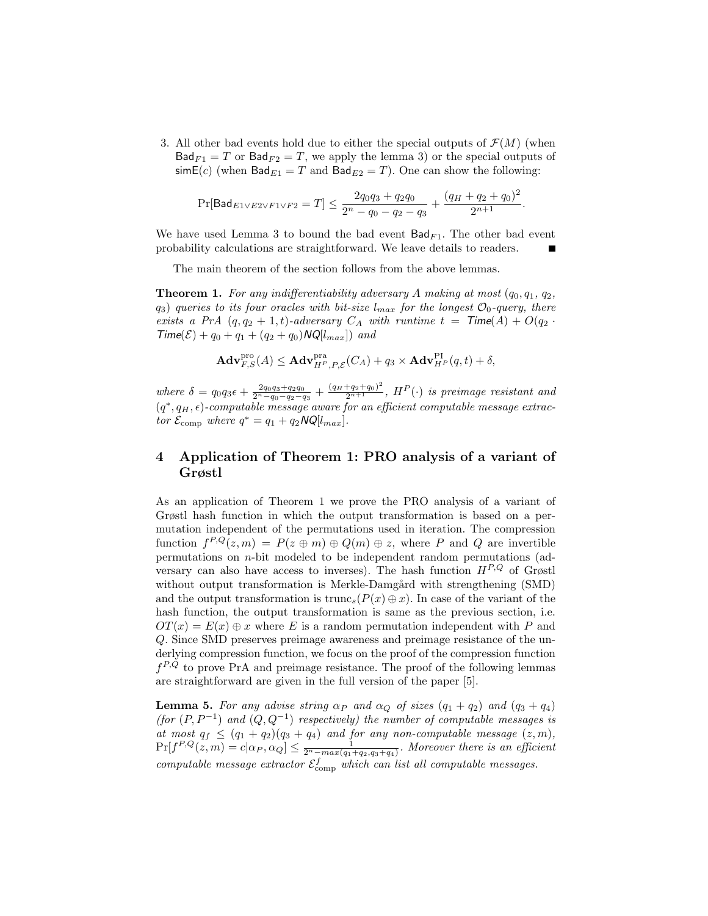3. All other bad events hold due to either the special outputs of  $\mathcal{F}(M)$  (when  $\mathsf{Bad}_{F1} = T$  or  $\mathsf{Bad}_{F2} = T$ , we apply the lemma 3) or the special outputs of  $\mathsf{simE}(c)$  (when  $\mathsf{Bad}_{E1} = T$  and  $\mathsf{Bad}_{E2} = T$ ). One can show the following:

$$
\Pr[\mathsf{Bad}_{E1\vee E2\vee F1\vee F2}=T] \leq \frac{2q_0q_3+q_2q_0}{2^n-q_0-q_2-q_3}+\frac{(q_H+q_2+q_0)^2}{2^{n+1}}.
$$

We have used Lemma 3 to bound the bad event  $\mathsf{Bad}_{F1}$ . The other bad event probability calculations are straightforward. We leave details to readers.

The main theorem of the section follows from the above lemmas.

**Theorem 1.** For any indifferentiability adversary A making at most  $(q_0, q_1, q_2,$  $q_3$ ) queries to its four oracles with bit-size  $l_{max}$  for the longest  $\mathcal{O}_0$ -query, there exists a PrA  $(q, q_2 + 1, t)$ -adversary  $C_A$  with runtime  $t = \text{Time}(A) + O(q_2$ .  $Time(\mathcal{E}) + q_0 + q_1 + (q_2 + q_0)NQ[l_{max}])$  and

$$
\mathbf{Adv}_{F,S}^{\text{pro}}(A) \leq \mathbf{Adv}_{H^P,P,\mathcal{E}}^{\text{pra}}(C_A) + q_3 \times \mathbf{Adv}_{H^P}^{\text{PI}}(q,t) + \delta,
$$

where  $\delta = q_0 q_3 \epsilon + \frac{2q_0 q_3 + q_2 q_0}{2^n - q_0 - q_2 - q_3} + \frac{(q_H + q_2 + q_0)^2}{2^{n+1}}, H^P(\cdot)$  is preimage resistant and  $(q^*, q_H, \epsilon)$ -computable message aware for an efficient computable message extractor  $\mathcal{E}_{\text{comp}}$  where  $q^* = q_1 + q_2 \textsf{NQ}[l_{max}]$ .

# 4 Application of Theorem 1: PRO analysis of a variant of Grøstl

As an application of Theorem 1 we prove the PRO analysis of a variant of Grøstl hash function in which the output transformation is based on a permutation independent of the permutations used in iteration. The compression function  $f^{P,Q}(z,m) = P(z \oplus m) \oplus Q(m) \oplus z$ , where P and Q are invertible permutations on n-bit modeled to be independent random permutations (adversary can also have access to inverses). The hash function  $H^{P,Q}$  of Grøstl without output transformation is Merkle-Damgård with strengthening (SMD) and the output transformation is  $trunc_s(P(x) \oplus x)$ . In case of the variant of the hash function, the output transformation is same as the previous section, i.e.  $OT(x) = E(x) \oplus x$  where E is a random permutation independent with P and Q. Since SMD preserves preimage awareness and preimage resistance of the underlying compression function, we focus on the proof of the compression function  $f^{P,Q}$  to prove PrA and preimage resistance. The proof of the following lemmas are straightforward are given in the full version of the paper [5].

**Lemma 5.** For any advise string  $\alpha_P$  and  $\alpha_Q$  of sizes  $(q_1 + q_2)$  and  $(q_3 + q_4)$ (for  $(P, P^{-1})$  and  $(Q, Q^{-1})$  respectively) the number of computable messages is at most  $q_f \leq (q_1 + q_2)(q_3 + q_4)$  and for any non-computable message  $(z, m)$ ,  $Pr[f^{P,Q}(z,m) = c|\alpha_P, \alpha_Q] \leq \frac{1}{2^n - max(q_1 + q_2, q_3 + q_4)}$ . Moreover there is an efficient computable message extractor  $\mathcal{E}^f_{\text{comp}}$  which can list all computable messages.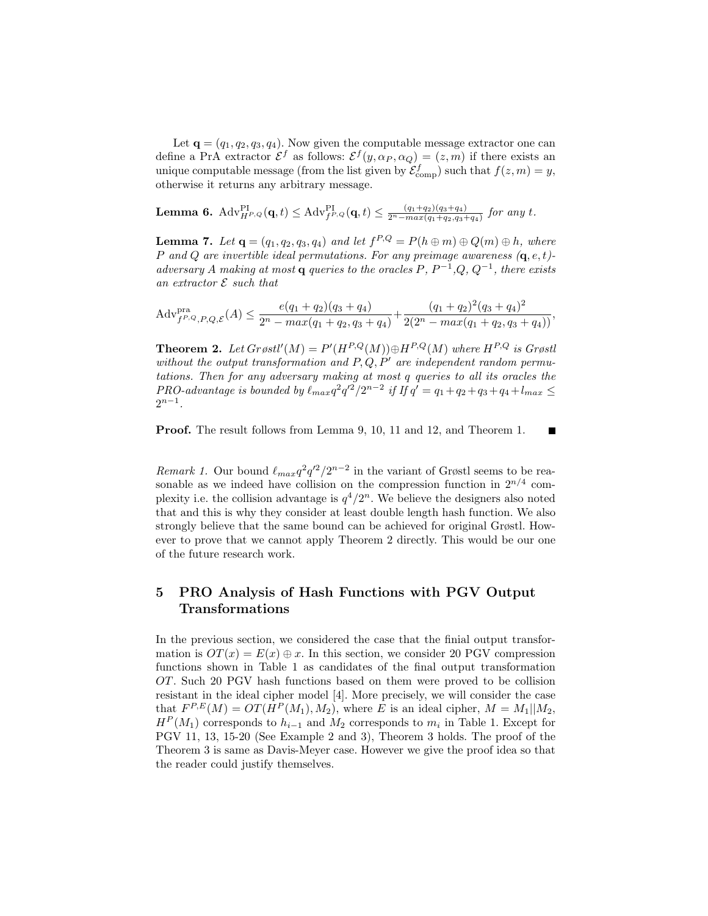Let  $\mathbf{q} = (q_1, q_2, q_3, q_4)$ . Now given the computable message extractor one can define a PrA extractor  $\mathcal{E}^f$  as follows:  $\mathcal{E}^f(y, \alpha_P, \alpha_Q) = (z, m)$  if there exists an unique computable message (from the list given by  $\mathcal{E}^f_{\text{comp}}$ ) such that  $f(z, m) = y$ , otherwise it returns any arbitrary message.

**Lemma 6.**  $\mathrm{Adv}_{H^{P,Q}}^{\text{PI}}(\mathbf{q},t) \leq \mathrm{Adv}_{f^{P,Q}}^{\text{PI}}(\mathbf{q},t) \leq \frac{(q_1+q_2)(q_3+q_4)}{2^{n-max(q_1+q_2,q_3+q_4)}}$  for any t.

**Lemma 7.** Let  $\mathbf{q} = (q_1, q_2, q_3, q_4)$  and let  $f^{P,Q} = P(h \oplus m) \oplus Q(m) \oplus h$ , where P and Q are invertible ideal permutations. For any preimage awareness  $(q, e, t)$ adversary A making at most **q** queries to the oracles P,  $P^{-1}, Q, Q^{-1}$ , there exists an extractor  $\mathcal E$  such that

$$
Adv_{f^{P,Q},P,Q,\mathcal{E}}^{\text{pra}}(A) \le \frac{e(q_1+q_2)(q_3+q_4)}{2^n - max(q_1+q_2, q_3+q_4)} + \frac{(q_1+q_2)^2(q_3+q_4)^2}{2(2^n - max(q_1+q_2, q_3+q_4))},
$$

**Theorem 2.** Let  $Grøstl'(M) = P'(H^{P,Q}(M)) \oplus H^{P,Q}(M)$  where  $H^{P,Q}$  is Grøstl without the output transformation and  $P, Q, P'$  are independent random permutations. Then for any adversary making at most q queries to all its oracles the PRO-advantage is bounded by  $\ell_{max}q^2q'^2/2^{n-2}$  if If  $q' = q_1 + q_2 + q_3 + q_4 + l_{max} \le$  $2^{n-1}$ .

Proof. The result follows from Lemma 9, 10, 11 and 12, and Theorem 1.

Remark 1. Our bound  $\ell_{max}q^2q'^2/2^{n-2}$  in the variant of Grøstl seems to be reasonable as we indeed have collision on the compression function in  $2^{n/4}$  complexity i.e. the collision advantage is  $q^4/2^n$ . We believe the designers also noted that and this is why they consider at least double length hash function. We also strongly believe that the same bound can be achieved for original Grøstl. However to prove that we cannot apply Theorem 2 directly. This would be our one of the future research work.

# 5 PRO Analysis of Hash Functions with PGV Output Transformations

In the previous section, we considered the case that the finial output transformation is  $OT(x) = E(x) \oplus x$ . In this section, we consider 20 PGV compression functions shown in Table 1 as candidates of the final output transformation OT. Such 20 PGV hash functions based on them were proved to be collision resistant in the ideal cipher model [4]. More precisely, we will consider the case that  $F^{P,E}(M) = OT(H^P(M_1), M_2)$ , where E is an ideal cipher,  $M = M_1||M_2$ ,  $H^P(M_1)$  corresponds to  $h_{i-1}$  and  $M_2$  corresponds to  $m_i$  in Table 1. Except for PGV 11, 13, 15-20 (See Example 2 and 3), Theorem 3 holds. The proof of the Theorem 3 is same as Davis-Meyer case. However we give the proof idea so that the reader could justify themselves.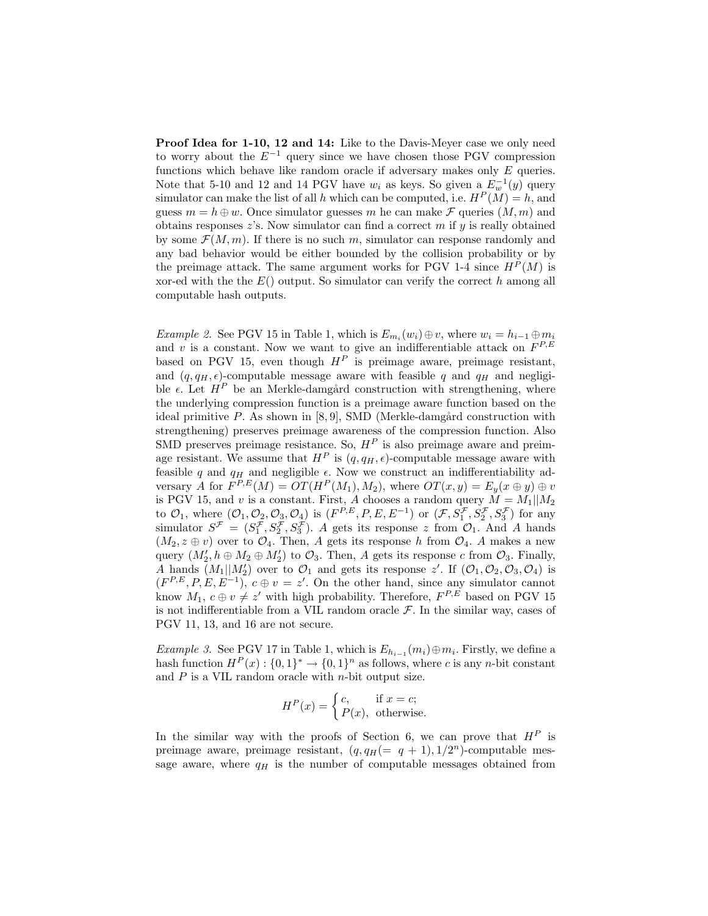Proof Idea for 1-10, 12 and 14: Like to the Davis-Meyer case we only need to worry about the  $E^{-1}$  query since we have chosen those PGV compression functions which behave like random oracle if adversary makes only  $E$  queries. Note that 5-10 and 12 and 14 PGV have  $w_i$  as keys. So given a  $E_w^{-1}(y)$  query simulator can make the list of all h which can be computed, i.e.  $H^P(M) = h$ , and guess  $m = h \oplus w$ . Once simulator guesses m he can make F queries  $(M, m)$  and obtains responses  $z$ 's. Now simulator can find a correct m if y is really obtained by some  $\mathcal{F}(M,m)$ . If there is no such m, simulator can response randomly and any bad behavior would be either bounded by the collision probability or by the preimage attack. The same argument works for PGV 1-4 since  $H^P(M)$  is xor-ed with the the  $E()$  output. So simulator can verify the correct h among all computable hash outputs.

*Example 2.* See PGV 15 in Table 1, which is  $E_{m_i}(w_i) \oplus v$ , where  $w_i = h_{i-1} \oplus m_i$ and v is a constant. Now we want to give an indifferentiable attack on  $F^{P,E}$ based on PGV 15, even though  $H^P$  is preimage aware, preimage resistant, and  $(q, q_H, \epsilon)$ -computable message aware with feasible q and  $q_H$  and negligible  $\epsilon$ . Let  $H^P$  be an Merkle-damgård construction with strengthening, where the underlying compression function is a preimage aware function based on the ideal primitive  $P$ . As shown in [8,9], SMD (Merkle-damgård construction with strengthening) preserves preimage awareness of the compression function. Also SMD preserves preimage resistance. So,  $H<sup>P</sup>$  is also preimage aware and preimage resistant. We assume that  $H^P$  is  $(q, q_H, \epsilon)$ -computable message aware with feasible q and  $q_H$  and negligible  $\epsilon$ . Now we construct an indifferentiability adversary A for  $F^{P,E}(M) = OT(H^P(M_1), M_2)$ , where  $OT(x, y) = E_y(x \oplus y) \oplus v$ is PGV 15, and v is a constant. First, A chooses a random query  $M = M_1||M_2$ to  $\mathcal{O}_1$ , where  $(\mathcal{O}_1, \mathcal{O}_2, \mathcal{O}_3, \mathcal{O}_4)$  is  $(F^{P,E}, P, E, E^{-1})$  or  $(\mathcal{F}, S_1^{\mathcal{F}}, S_2^{\mathcal{F}}, S_3^{\mathcal{F}})$  for any simulator  $S^{\mathcal{F}} = (S_1^{\mathcal{F}}, S_2^{\mathcal{F}}, S_3^{\mathcal{F}})$ . A gets its response z from  $\mathcal{O}_1$ . And A hands  $(M_2, z \oplus v)$  over to  $\mathcal{O}_4$ . Then, A gets its response h from  $\mathcal{O}_4$ . A makes a new query  $(M'_2, h \oplus M_2 \oplus M'_2)$  to  $\mathcal{O}_3$ . Then, A gets its response c from  $\mathcal{O}_3$ . Finally, A hands  $(M_1||M'_2)$  over to  $\mathcal{O}_1$  and gets its response z'. If  $(\mathcal{O}_1, \mathcal{O}_2, \mathcal{O}_3, \mathcal{O}_4)$  is  $(F^{P,E}, P, E, E^{-1}), c \oplus v = z'.$  On the other hand, since any simulator cannot know  $M_1, c \oplus v \neq z'$  with high probability. Therefore,  $F^{P,E}$  based on PGV 15 is not indifferentiable from a VIL random oracle  $\mathcal F$ . In the similar way, cases of PGV 11, 13, and 16 are not secure.

*Example 3.* See PGV 17 in Table 1, which is  $E_{h_{i-1}}(m_i) \oplus m_i$ . Firstly, we define a hash function  $H^P(x): \{0,1\}^* \to \{0,1\}^n$  as follows, where c is any n-bit constant and  $P$  is a VIL random oracle with *n*-bit output size.

$$
H^{P}(x) = \begin{cases} c, & \text{if } x = c; \\ P(x), & \text{otherwise.} \end{cases}
$$

In the similar way with the proofs of Section 6, we can prove that  $H^P$  is preimage aware, preimage resistant,  $(q, q_H (= q + 1), 1/2^n)$ -computable message aware, where  $q_H$  is the number of computable messages obtained from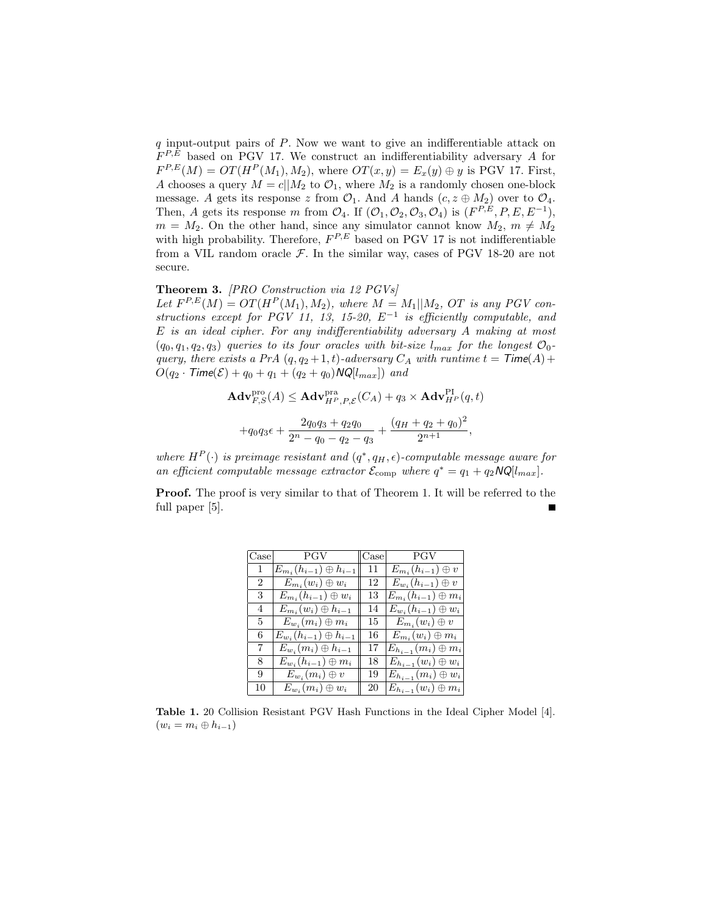$q$  input-output pairs of  $P$ . Now we want to give an indifferentiable attack on  $F^{P,E}$  based on PGV 17. We construct an indifferentiability adversary A for  $F^{P,E}(M) = OT(H^P(M_1), M_2)$ , where  $OT(x, y) = E_x(y) \oplus y$  is PGV 17. First, A chooses a query  $M = c||M_2$  to  $\mathcal{O}_1$ , where  $M_2$  is a randomly chosen one-block message. A gets its response z from  $\mathcal{O}_1$ . And A hands  $(c, z \oplus M_2)$  over to  $\mathcal{O}_4$ . Then, A gets its response m from  $\mathcal{O}_4$ . If  $(\mathcal{O}_1, \mathcal{O}_2, \mathcal{O}_3, \mathcal{O}_4)$  is  $(F^{P, E}, P, E, E^{-1}),$  $m = M_2$ . On the other hand, since any simulator cannot know  $M_2$ ,  $m \neq M_2$ with high probability. Therefore,  $F^{P,E}$  based on PGV 17 is not indifferentiable from a VIL random oracle  $\mathcal{F}$ . In the similar way, cases of PGV 18-20 are not secure.

#### Theorem 3. [PRO Construction via 12 PGVs]

Let  $F^{P,E}(M) = OT(H^P(M_1), M_2)$ , where  $M = M_1||M_2$ , OT is any PGV constructions except for PGV 11, 13, 15-20,  $E^{-1}$  is efficiently computable, and E is an ideal cipher. For any indifferentiability adversary A making at most  $(q_0, q_1, q_2, q_3)$  queries to its four oracles with bit-size  $l_{max}$  for the longest  $\mathcal{O}_0$ query, there exists a PrA  $(q, q_2+1, t)$ -adversary  $C_A$  with runtime  $t =$   $Time(A) +$  $O(q_2 \cdot \text{Time}(\mathcal{E}) + q_0 + q_1 + (q_2 + q_0) \text{NQ}[l_{max}])$  and

$$
\mathbf{Adv}_{F,S}^{\text{pro}}(A) \le \mathbf{Adv}_{H^P,P,\mathcal{E}}^{\text{pra}}(C_A) + q_3 \times \mathbf{Adv}_{H^P}^{\text{PI}}(q,t)
$$

$$
+q_0q_3\epsilon + \frac{2q_0q_3 + q_2q_0}{2^n - q_0 - q_2 - q_3} + \frac{(q_H + q_2 + q_0)^2}{2^{n+1}},
$$

where  $H^P(\cdot)$  is preimage resistant and  $(q^*, q_H, \epsilon)$ -computable message aware for an efficient computable message extractor  $\mathcal{E}_{\text{comp}}$  where  $q^* = q_1 + q_2 NQ[l_{max}].$ 

Proof. The proof is very similar to that of Theorem 1. It will be referred to the full paper [5].

|                | Case PGV                         | Case | PGV                           |
|----------------|----------------------------------|------|-------------------------------|
| 1              | $E_{m_i}(h_{i-1})\oplus h_{i-1}$ | 11   | $E_{m_i}(h_{i-1})\oplus v$    |
| $\overline{2}$ | $E_{m_i}(w_i) \oplus w_i$        | 12   | $E_{w_i}(h_{i-1})\oplus v$    |
| 3              | $E_{m_i}(h_{i-1})\oplus w_i$     | 13   | $E_{m_i}(h_{i-1})\oplus m_i$  |
| 4              | $E_{m_i}(w_i) \oplus h_{i-1}$    | 14   | $E_{w_i}(h_{i-1})\oplus w_i$  |
| 5.             | $E_{w_i}(m_i) \oplus m_i$        | 15   | $E_{m_i}(w_i) \oplus v_i$     |
| 6              | $E_{w_i}(h_{i-1})\oplus h_{i-1}$ | 16   | $E_{m_i}(w_i) \oplus m_i$     |
| $\overline{7}$ | $E_{w_i}(m_i) \oplus h_{i-1}$    | 17   | $E_{h_{i-1}}(m_i)\oplus m_i$  |
| 8              | $E_{w_i}(h_{i-1})\oplus m_i$     | 18   | $E_{h_{i-1}}(w_i)\oplus w_i$  |
| 9              | $E_{w_i}(m_i) \oplus v_i$        | 19   | $E_{h_{i-1}}(m_i)\oplus w_i$  |
| 10             | $E_{w_i}(m_i) \oplus w_i$        | 20   | $E_{h_{i-1}}(w_i) \oplus m_i$ |

Table 1. 20 Collision Resistant PGV Hash Functions in the Ideal Cipher Model [4].  $(w_i = m_i \oplus h_{i-1})$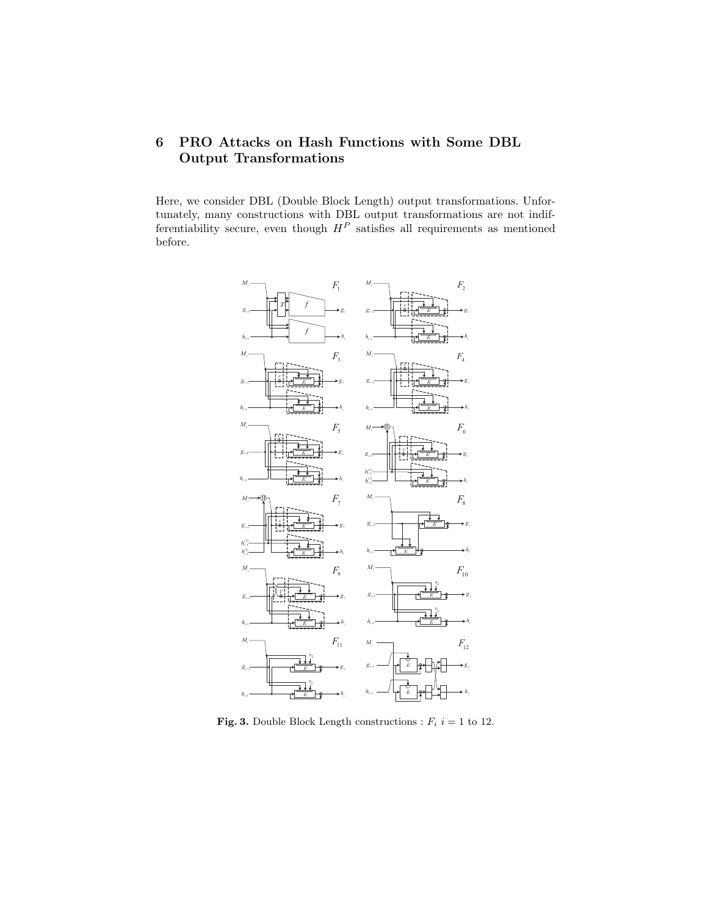# 6 PRO Attacks on Hash Functions with Some DBL Output Transformations

Here, we consider DBL (Double Block Length) output transformations. Unfortunately, many constructions with DBL output transformations are not indifferentiability secure, even though  $H^P$  satisfies all requirements as mentioned before.



**Fig. 3.** Double Block Length constructions :  $F_i$  i = 1 to 12.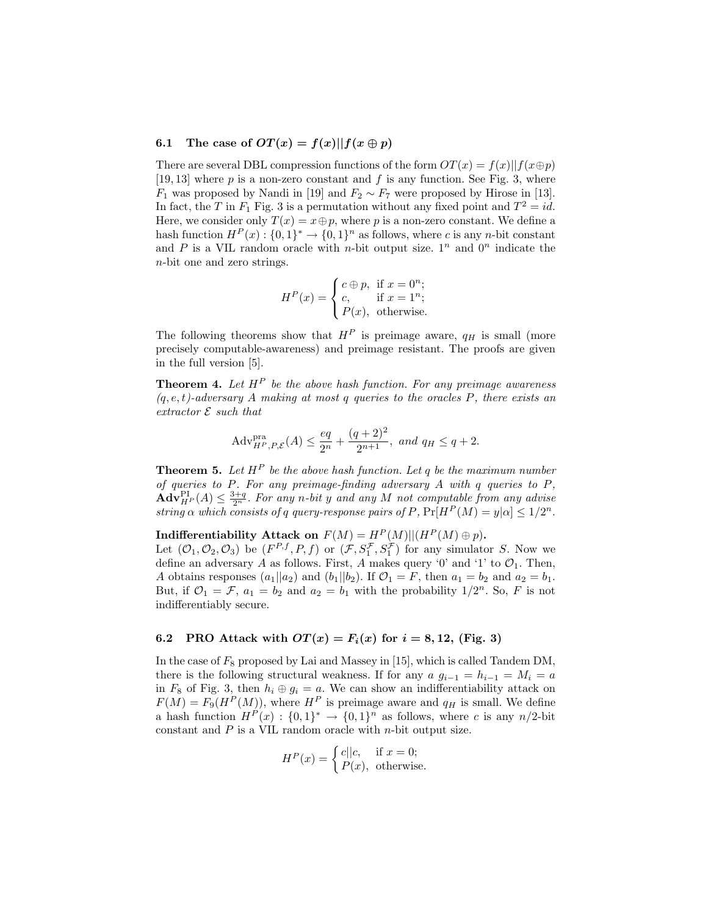#### 6.1 The case of  $OT(x) = f(x)||f(x \oplus p)$

There are several DBL compression functions of the form  $OT(x) = f(x)||f(x \oplus p)$ [19, 13] where p is a non-zero constant and f is any function. See Fig. 3, where  $F_1$  was proposed by Nandi in [19] and  $F_2 \sim F_7$  were proposed by Hirose in [13]. In fact, the T in  $F_1$  Fig. 3 is a permutation without any fixed point and  $T^2 = id$ . Here, we consider only  $T(x) = x \oplus p$ , where p is a non-zero constant. We define a hash function  $H^P(x): \{0,1\}^* \to \{0,1\}^n$  as follows, where c is any n-bit constant and  $P$  is a VIL random oracle with *n*-bit output size.  $1^n$  and  $0^n$  indicate the n-bit one and zero strings.

$$
H^{P}(x) = \begin{cases} c \oplus p, & \text{if } x = 0^{n}; \\ c, & \text{if } x = 1^{n}; \\ P(x), & \text{otherwise}. \end{cases}
$$

The following theorems show that  $H^P$  is preimage aware,  $q_H$  is small (more precisely computable-awareness) and preimage resistant. The proofs are given in the full version [5].

**Theorem 4.** Let  $H^P$  be the above hash function. For any preimage awareness  $(q, e, t)$ -adversary A making at most q queries to the oracles P, there exists an  $extraction \mathcal{E}$  such that

Adv<sub>H<sup>P</sup>,p, \varepsilon</sub>(A) 
$$
\leq \frac{eq}{2^n} + \frac{(q+2)^2}{2^{n+1}}, \text{ and } q_H \leq q+2.
$$

**Theorem 5.** Let  $H^P$  be the above hash function. Let q be the maximum number of queries to  $P$ . For any preimage-finding adversary  $A$  with  $q$  queries to  $P$ ,  $\mathbf{Adv}_{H^P}^{\text{PI}}(A) \leq \frac{3+q}{2^n}$ . For any n-bit y and any M not computable from any advise string  $\alpha$  which consists of q query-response pairs of P,  $Pr[H^P(M) = y | \alpha] \leq 1/2^n$ .

Indifferentiability Attack on  $F(M) = H<sup>P</sup>(M)||(H<sup>P</sup>(M) \oplus p)$ .

Let  $(\mathcal{O}_1, \mathcal{O}_2, \mathcal{O}_3)$  be  $(F^{P,f}, P, f)$  or  $(\mathcal{F}, S_1^{\mathcal{F}}, S_1^{\mathcal{F}})$  for any simulator S. Now we define an adversary A as follows. First, A makes query '0' and '1' to  $\mathcal{O}_1$ . Then, A obtains responses  $(a_1||a_2)$  and  $(b_1||b_2)$ . If  $\mathcal{O}_1 = F$ , then  $a_1 = b_2$  and  $a_2 = b_1$ . But, if  $\mathcal{O}_1 = \mathcal{F}$ ,  $a_1 = b_2$  and  $a_2 = b_1$  with the probability  $1/2^n$ . So, F is not indifferentiably secure.

## 6.2 PRO Attack with  $OT(x) = F_i(x)$  for  $i = 8, 12,$  (Fig. 3)

In the case of  $F_8$  proposed by Lai and Massey in [15], which is called Tandem DM, there is the following structural weakness. If for any  $a \, g_{i-1} = h_{i-1} = M_i = a$ in  $F_8$  of Fig. 3, then  $h_i \oplus g_i = a$ . We can show an indifferentiability attack on  $F(M) = F_9(H^P(M))$ , where  $H^P$  is preimage aware and  $q_H$  is small. We define a hash function  $H^P(x) : \{0,1\}^* \to \{0,1\}^n$  as follows, where c is any  $n/2$ -bit constant and  $P$  is a VIL random oracle with  $n$ -bit output size.

$$
H^{P}(x) = \begin{cases} c||c, & \text{if } x = 0; \\ P(x), & \text{otherwise.} \end{cases}
$$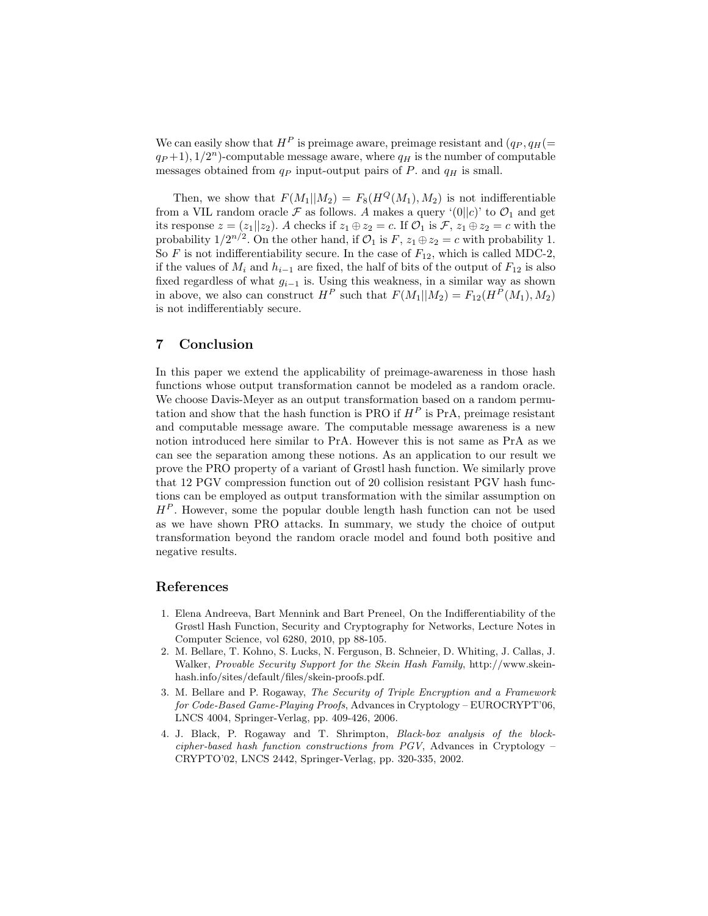We can easily show that  $H^P$  is preimage aware, preimage resistant and  $(q_P, q_H(=$  $q_P+1$ ,  $1/2^n$ )-computable message aware, where  $q_H$  is the number of computable messages obtained from  $q_P$  input-output pairs of P. and  $q_H$  is small.

Then, we show that  $F(M_1||M_2) = F_8(H^Q(M_1), M_2)$  is not indifferentiable from a VIL random oracle  $\mathcal F$  as follows. A makes a query '(0||c)' to  $\mathcal O_1$  and get its response  $z = (z_1||z_2)$ . A checks if  $z_1 \oplus z_2 = c$ . If  $\mathcal{O}_1$  is  $\mathcal{F}, z_1 \oplus z_2 = c$  with the probability  $1/2^{n/2}$ . On the other hand, if  $\mathcal{O}_1$  is  $F$ ,  $z_1 \oplus z_2 = c$  with probability 1. So F is not indifferentiability secure. In the case of  $F_{12}$ , which is called MDC-2, if the values of  $M_i$  and  $h_{i-1}$  are fixed, the half of bits of the output of  $F_{12}$  is also fixed regardless of what  $g_{i-1}$  is. Using this weakness, in a similar way as shown in above, we also can construct  $H^P$  such that  $F(M_1||M_2) = F_{12}(H^P(M_1), M_2)$ is not indifferentiably secure.

## 7 Conclusion

In this paper we extend the applicability of preimage-awareness in those hash functions whose output transformation cannot be modeled as a random oracle. We choose Davis-Meyer as an output transformation based on a random permutation and show that the hash function is PRO if  $H^P$  is PrA, preimage resistant and computable message aware. The computable message awareness is a new notion introduced here similar to PrA. However this is not same as PrA as we can see the separation among these notions. As an application to our result we prove the PRO property of a variant of Grøstl hash function. We similarly prove that 12 PGV compression function out of 20 collision resistant PGV hash functions can be employed as output transformation with the similar assumption on  $H<sup>P</sup>$ . However, some the popular double length hash function can not be used as we have shown PRO attacks. In summary, we study the choice of output transformation beyond the random oracle model and found both positive and negative results.

## References

- 1. Elena Andreeva, Bart Mennink and Bart Preneel, On the Indifferentiability of the Grøstl Hash Function, Security and Cryptography for Networks, Lecture Notes in Computer Science, vol 6280, 2010, pp 88-105.
- 2. M. Bellare, T. Kohno, S. Lucks, N. Ferguson, B. Schneier, D. Whiting, J. Callas, J. Walker, Provable Security Support for the Skein Hash Family, http://www.skeinhash.info/sites/default/files/skein-proofs.pdf.
- 3. M. Bellare and P. Rogaway, The Security of Triple Encryption and a Framework for Code-Based Game-Playing Proofs, Advances in Cryptology – EUROCRYPT'06, LNCS 4004, Springer-Verlag, pp. 409-426, 2006.
- 4. J. Black, P. Rogaway and T. Shrimpton, Black-box analysis of the blockcipher-based hash function constructions from PGV, Advances in Cryptology – CRYPTO'02, LNCS 2442, Springer-Verlag, pp. 320-335, 2002.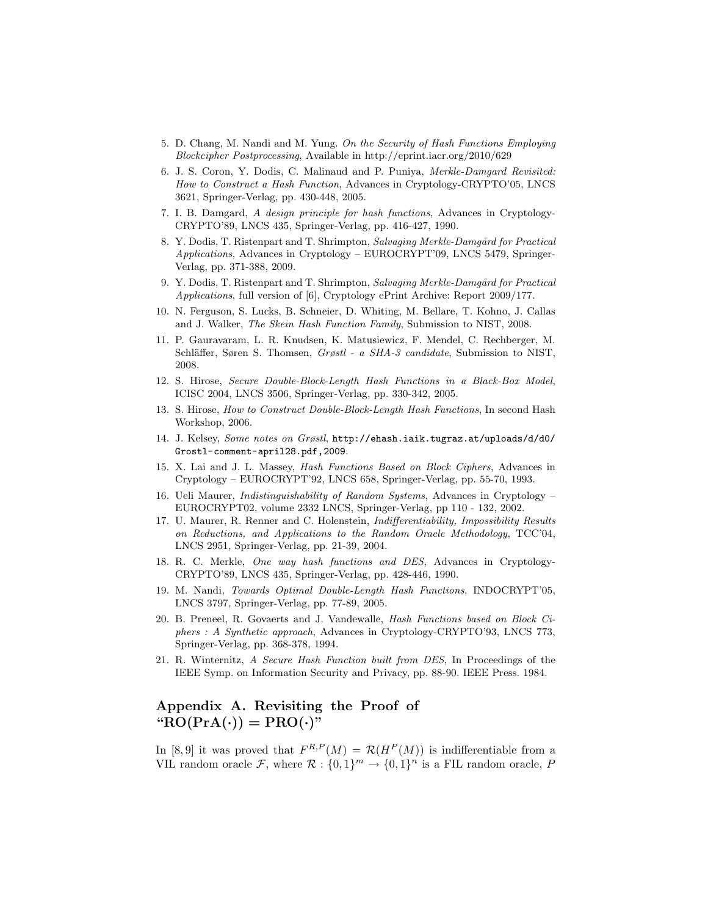- 5. D. Chang, M. Nandi and M. Yung. On the Security of Hash Functions Employing Blockcipher Postprocessing, Available in http://eprint.iacr.org/2010/629
- 6. J. S. Coron, Y. Dodis, C. Malinaud and P. Puniya, Merkle-Damgard Revisited: How to Construct a Hash Function, Advances in Cryptology-CRYPTO'05, LNCS 3621, Springer-Verlag, pp. 430-448, 2005.
- 7. I. B. Damgard, A design principle for hash functions, Advances in Cryptology-CRYPTO'89, LNCS 435, Springer-Verlag, pp. 416-427, 1990.
- 8. Y. Dodis, T. Ristenpart and T. Shrimpton, Salvaging Merkle-Damgård for Practical Applications, Advances in Cryptology – EUROCRYPT'09, LNCS 5479, Springer-Verlag, pp. 371-388, 2009.
- 9. Y. Dodis, T. Ristenpart and T. Shrimpton, Salvaging Merkle-Damgård for Practical Applications, full version of [6], Cryptology ePrint Archive: Report 2009/177.
- 10. N. Ferguson, S. Lucks, B. Schneier, D. Whiting, M. Bellare, T. Kohno, J. Callas and J. Walker, The Skein Hash Function Family, Submission to NIST, 2008.
- 11. P. Gauravaram, L. R. Knudsen, K. Matusiewicz, F. Mendel, C. Rechberger, M. Schläffer, Søren S. Thomsen, Grøstl - a SHA-3 candidate, Submission to NIST, 2008.
- 12. S. Hirose, Secure Double-Block-Length Hash Functions in a Black-Box Model, ICISC 2004, LNCS 3506, Springer-Verlag, pp. 330-342, 2005.
- 13. S. Hirose, How to Construct Double-Block-Length Hash Functions, In second Hash Workshop, 2006.
- 14. J. Kelsey, Some notes on Grøstl, http://ehash.iaik.tugraz.at/uploads/d/d0/ Grostl-comment-april28.pdf,2009.
- 15. X. Lai and J. L. Massey, Hash Functions Based on Block Ciphers, Advances in Cryptology – EUROCRYPT'92, LNCS 658, Springer-Verlag, pp. 55-70, 1993.
- 16. Ueli Maurer, Indistinguishability of Random Systems, Advances in Cryptology EUROCRYPT02, volume 2332 LNCS, Springer-Verlag, pp 110 - 132, 2002.
- 17. U. Maurer, R. Renner and C. Holenstein, Indifferentiability, Impossibility Results on Reductions, and Applications to the Random Oracle Methodology, TCC'04, LNCS 2951, Springer-Verlag, pp. 21-39, 2004.
- 18. R. C. Merkle, One way hash functions and DES, Advances in Cryptology-CRYPTO'89, LNCS 435, Springer-Verlag, pp. 428-446, 1990.
- 19. M. Nandi, Towards Optimal Double-Length Hash Functions, INDOCRYPT'05, LNCS 3797, Springer-Verlag, pp. 77-89, 2005.
- 20. B. Preneel, R. Govaerts and J. Vandewalle, Hash Functions based on Block Ciphers : A Synthetic approach, Advances in Cryptology-CRYPTO'93, LNCS 773, Springer-Verlag, pp. 368-378, 1994.
- 21. R. Winternitz, A Secure Hash Function built from DES, In Proceedings of the IEEE Symp. on Information Security and Privacy, pp. 88-90. IEEE Press. 1984.

# Appendix A. Revisiting the Proof of  $\text{``RO}(\text{PrA}(\cdot)) = \text{PRO}(\cdot)$ "

In [8,9] it was proved that  $F^{R,P}(M) = \mathcal{R}(H^P(M))$  is indifferentiable from a VIL random oracle F, where  $\mathcal{R}: \{0,1\}^m \to \{0,1\}^n$  is a FIL random oracle, F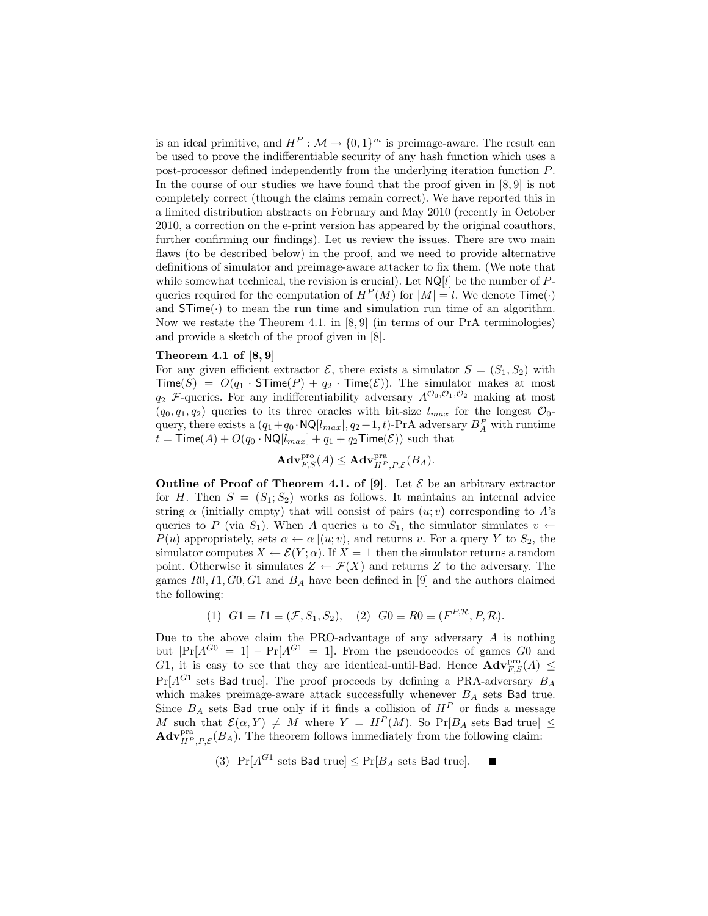is an ideal primitive, and  $H^P : \mathcal{M} \to \{0,1\}^m$  is preimage-aware. The result can be used to prove the indifferentiable security of any hash function which uses a post-processor defined independently from the underlying iteration function P. In the course of our studies we have found that the proof given in [8,9] is not completely correct (though the claims remain correct). We have reported this in a limited distribution abstracts on February and May 2010 (recently in October 2010, a correction on the e-print version has appeared by the original coauthors, further confirming our findings). Let us review the issues. There are two main flaws (to be described below) in the proof, and we need to provide alternative definitions of simulator and preimage-aware attacker to fix them. (We note that while somewhat technical, the revision is crucial). Let  $NQ[l]$  be the number of Pqueries required for the computation of  $H^P(M)$  for  $|M| = l$ . We denote  $\text{Time}(\cdot)$ and  $STime(\cdot)$  to mean the run time and simulation run time of an algorithm. Now we restate the Theorem 4.1. in [8, 9] (in terms of our PrA terminologies) and provide a sketch of the proof given in [8].

## Theorem 4.1 of [8, 9]

For any given efficient extractor  $\mathcal{E}$ , there exists a simulator  $S = (S_1, S_2)$  with  $Time(S) = O(q_1 \cdot \text{STime}(P) + q_2 \cdot \text{Time}(\mathcal{E}))$ . The simulator makes at most  $q_2$  F-queries. For any indifferentiability adversary  $A^{\mathcal{O}_0,\mathcal{O}_1,\mathcal{O}_2}$  making at most  $(q_0, q_1, q_2)$  queries to its three oracles with bit-size  $l_{max}$  for the longest  $\mathcal{O}_0$ query, there exists a  $(q_1+q_0 \cdot \textsf{NQ}[l_{max}], q_2+1, t)$ -PrA adversary  $B_A^P$  with runtime  $t =$ Time $(A) + O(q_0 \cdot NQ[l_{max}] + q_1 + q_2$ Time $(\mathcal{E}))$  such that

$$
\mathbf{Adv}_{F,S}^{\mathrm{pro}}(A) \leq \mathbf{Adv}_{H^P,P,\mathcal{E}}^{\mathrm{pra}}(B_A).
$$

Outline of Proof of Theorem 4.1. of [9]. Let  $\mathcal E$  be an arbitrary extractor for H. Then  $S = (S_1; S_2)$  works as follows. It maintains an internal advice string  $\alpha$  (initially empty) that will consist of pairs  $(u; v)$  corresponding to A's queries to P (via S<sub>1</sub>). When A queries u to S<sub>1</sub>, the simulator simulates  $v \leftarrow$  $P(u)$  appropriately, sets  $\alpha \leftarrow \alpha \|(u; v)$ , and returns v. For a query Y to  $S_2$ , the simulator computes  $X \leftarrow \mathcal{E}(Y; \alpha)$ . If  $X = \bot$  then the simulator returns a random point. Otherwise it simulates  $Z \leftarrow \mathcal{F}(X)$  and returns Z to the adversary. The games  $R0, I1, G0, G1$  and  $B<sub>A</sub>$  have been defined in [9] and the authors claimed the following:

(1) 
$$
G1 \equiv I1 \equiv (\mathcal{F}, S_1, S_2),
$$
 (2)  $G0 \equiv R0 \equiv (F^{P, R}, P, R).$ 

Due to the above claim the PRO-advantage of any adversary  $A$  is nothing but  $|\Pr[A^{G0} = 1] - \Pr[A^{G1} = 1]$ . From the pseudocodes of games G0 and G1, it is easy to see that they are identical-until-Bad. Hence  $\mathbf{Adv}_{F,S}^{\text{pro}}(A) \leq$  $Pr[A^{G1}$  sets Bad true]. The proof proceeds by defining a PRA-adversary  $B_A$ which makes preimage-aware attack successfully whenever  $B_A$  sets Bad true. Since  $B_A$  sets Bad true only if it finds a collision of  $H^P$  or finds a message M such that  $\mathcal{E}(\alpha, Y) \neq M$  where  $Y = H^P(M)$ . So Pr[ $B_A$  sets Bad true]  $\leq$  $\mathbf{Adv}_{H^P, P, \mathcal{E}}^{\text{pra}}(B_A)$ . The theorem follows immediately from the following claim:

(3) 
$$
\Pr[A^{G1} \text{ sets } \text{Bad true}] \le \Pr[B_A \text{ sets } \text{Bad true}].
$$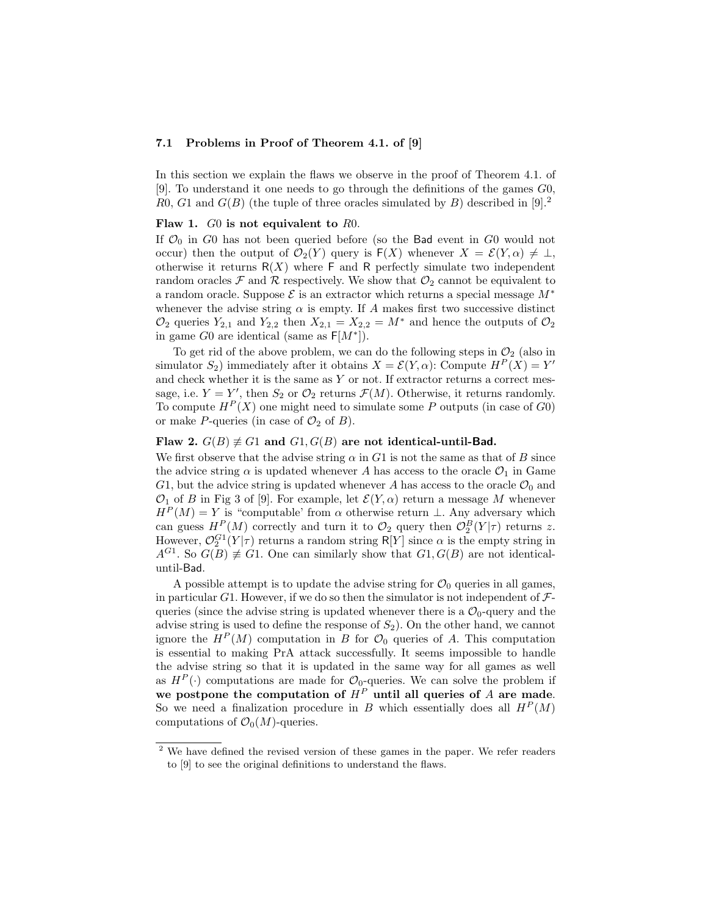#### 7.1 Problems in Proof of Theorem 4.1. of [9]

In this section we explain the flaws we observe in the proof of Theorem 4.1. of [9]. To understand it one needs to go through the definitions of the games G0, R0, G1 and  $G(B)$  (the tuple of three oracles simulated by B) described in [9].<sup>2</sup>

#### Flaw 1. G0 is not equivalent to R0.

If  $\mathcal{O}_0$  in G0 has not been queried before (so the Bad event in G0 would not occur) then the output of  $\mathcal{O}_2(Y)$  query is  $F(X)$  whenever  $X = \mathcal{E}(Y, \alpha) \neq \bot$ , otherwise it returns  $R(X)$  where F and R perfectly simulate two independent random oracles F and R respectively. We show that  $\mathcal{O}_2$  cannot be equivalent to a random oracle. Suppose  $\mathcal E$  is an extractor which returns a special message  $M^*$ whenever the advise string  $\alpha$  is empty. If A makes first two successive distinct  $\mathcal{O}_2$  queries  $Y_{2,1}$  and  $Y_{2,2}$  then  $X_{2,1} = X_{2,2} = M^*$  and hence the outputs of  $\mathcal{O}_2$ in game G0 are identical (same as  $F[M^*]$ ).

To get rid of the above problem, we can do the following steps in  $\mathcal{O}_2$  (also in simulator  $S_2$ ) immediately after it obtains  $X = \mathcal{E}(Y, \alpha)$ : Compute  $H^P(X) = Y'$ and check whether it is the same as  $Y$  or not. If extractor returns a correct message, i.e.  $Y = Y'$ , then  $S_2$  or  $\mathcal{O}_2$  returns  $\mathcal{F}(M)$ . Otherwise, it returns randomly. To compute  $H^P(X)$  one might need to simulate some P outputs (in case of  $G0$ ) or make P-queries (in case of  $\mathcal{O}_2$  of B).

#### Flaw 2.  $G(B) \neq G1$  and  $G1, G(B)$  are not identical-until-Bad.

We first observe that the advise string  $\alpha$  in G1 is not the same as that of B since the advice string  $\alpha$  is updated whenever A has access to the oracle  $\mathcal{O}_1$  in Game G1, but the advice string is updated whenever A has access to the oracle  $\mathcal{O}_0$  and  $\mathcal{O}_1$  of B in Fig 3 of [9]. For example, let  $\mathcal{E}(Y,\alpha)$  return a message M whenever  $H^P(M) = Y$  is "computable' from  $\alpha$  otherwise return  $\bot$ . Any adversary which can guess  $H^P(M)$  correctly and turn it to  $\mathcal{O}_2$  query then  $\mathcal{O}_2^B(Y|\tau)$  returns z. However,  $\mathcal{O}_2^{G_1}(Y|\tau)$  returns a random string R[Y] since  $\alpha$  is the empty string in  $A^{G_1}$ . So  $G(B) \neq G_1$ . One can similarly show that  $G_1, G(B)$  are not identicaluntil-Bad.

A possible attempt is to update the advise string for  $\mathcal{O}_0$  queries in all games, in particular G1. However, if we do so then the simulator is not independent of  $\mathcal{F}$ queries (since the advise string is updated whenever there is a  $\mathcal{O}_0$ -query and the advise string is used to define the response of  $S_2$ ). On the other hand, we cannot ignore the  $H^P(M)$  computation in B for  $\mathcal{O}_0$  queries of A. This computation is essential to making PrA attack successfully. It seems impossible to handle the advise string so that it is updated in the same way for all games as well as  $H^P(\cdot)$  computations are made for  $\mathcal{O}_0$ -queries. We can solve the problem if we postpone the computation of  $H^P$  until all queries of A are made. So we need a finalization procedure in B which essentially does all  $H^P(M)$ computations of  $\mathcal{O}_0(M)$ -queries.

<sup>&</sup>lt;sup>2</sup> We have defined the revised version of these games in the paper. We refer readers to [9] to see the original definitions to understand the flaws.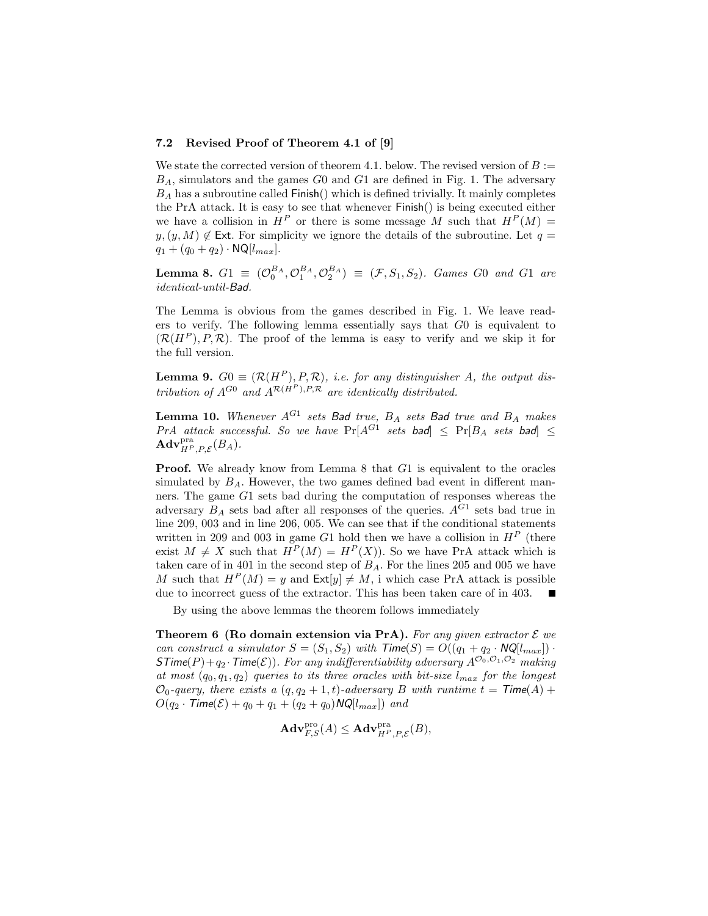#### 7.2 Revised Proof of Theorem 4.1 of [9]

We state the corrected version of theorem 4.1. below. The revised version of  $B :=$  $B<sub>A</sub>$ , simulators and the games  $G<sub>0</sub>$  and  $G<sub>1</sub>$  are defined in Fig. 1. The adversary  $B_A$  has a subroutine called  $\mathsf{Finish}()$  which is defined trivially. It mainly completes the PrA attack. It is easy to see that whenever Finish() is being executed either we have a collision in  $H^P$  or there is some message M such that  $H^P(M) =$  $y,(y,M) \notin \mathsf{Ext}$ . For simplicity we ignore the details of the subroutine. Let  $q =$  $q_1 + (q_0 + q_2) \cdot NQ[l_{max}].$ 

**Lemma 8.**  $G1 \equiv (\mathcal{O}_0^{B_A}, \mathcal{O}_1^{B_A}, \mathcal{O}_2^{B_A}) \equiv (\mathcal{F}, S_1, S_2)$ . Games  $G0$  and  $G1$  are identical-until-Bad.

The Lemma is obvious from the games described in Fig. 1. We leave readers to verify. The following lemma essentially says that G0 is equivalent to  $(\mathcal{R}(H^P), P, \mathcal{R})$ . The proof of the lemma is easy to verify and we skip it for the full version.

**Lemma 9.**  $G0 \equiv (\mathcal{R}(H^P), P, \mathcal{R})$ , *i.e. for any distinguisher A, the output dis*tribution of  $A^{G0}$  and  $A^{R(H^P),P,R}$  are identically distributed.

**Lemma 10.** Whenever  $A^{G_1}$  sets Bad true,  $B_A$  sets Bad true and  $B_A$  makes PrA attack successful. So we have  $Pr[A^{G1} \text{ sets } \text{bad}] \leq Pr[B_A \text{ sets } \text{bad}] \leq$  $\mathbf{Adv}_{H^P,P,\mathcal{E}}^{\text{pra}}(B_A).$ 

Proof. We already know from Lemma 8 that  $G1$  is equivalent to the oracles simulated by  $B_A$ . However, the two games defined bad event in different manners. The game G1 sets bad during the computation of responses whereas the adversary  $B_A$  sets bad after all responses of the queries.  $A^{G_1}$  sets bad true in line 209, 003 and in line 206, 005. We can see that if the conditional statements written in 209 and 003 in game G1 hold then we have a collision in  $H<sup>P</sup>$  (there exist  $M \neq X$  such that  $H^P(M) = H^P(X)$ . So we have PrA attack which is taken care of in 401 in the second step of  $B_A$ . For the lines 205 and 005 we have M such that  $H^P(M) = y$  and  $Ext[y] \neq M$ , i which case PrA attack is possible due to incorrect guess of the extractor. This has been taken care of in 403.  $\blacksquare$ 

By using the above lemmas the theorem follows immediately

**Theorem 6 (Ro domain extension via PrA).** For any given extractor  $\mathcal{E}$  we can construct a simulator  $S = (S_1, S_2)$  with  $\text{Time}(S) = O((q_1 + q_2 \cdot \text{NQ}[l_{max}])$ .  $\mathsf{STime}(P)+q_2 \cdot \mathsf{Time}(\mathcal{E}))$ . For any indifferentiability adversary  $A^{\mathcal{O}_0,\mathcal{O}_1,\mathcal{O}_2}$  making at most  $(q_0, q_1, q_2)$  queries to its three oracles with bit-size  $l_{max}$  for the longest  $\mathcal{O}_0$ -query, there exists a  $(q, q_2 + 1, t)$ -adversary B with runtime  $t = \mathsf{Time}(A) +$  $O(q_2 \cdot \text{Time}(\mathcal{E}) + q_0 + q_1 + (q_2 + q_0) \text{NQ}[l_{max}])$  and

$$
\mathbf{Adv}_{F,S}^{\text{pro}}(A) \leq \mathbf{Adv}_{H^P,P,\mathcal{E}}^{\text{pra}}(B),
$$